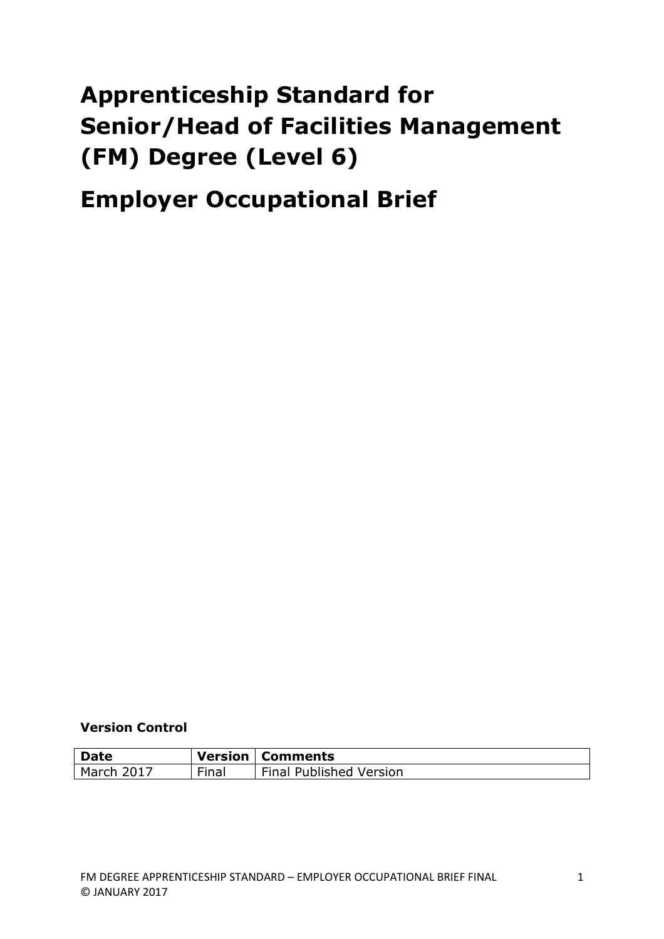# **Apprenticeship Standard for Senior/Head of Facilities Management (FM) Degree (Level 6)**

## **Employer Occupational Brief**

**Version Control**

| <b>Date</b> |             | <b>Version   Comments</b>      |
|-------------|-------------|--------------------------------|
| March 2017  | --<br>Final | <b>Final Published Version</b> |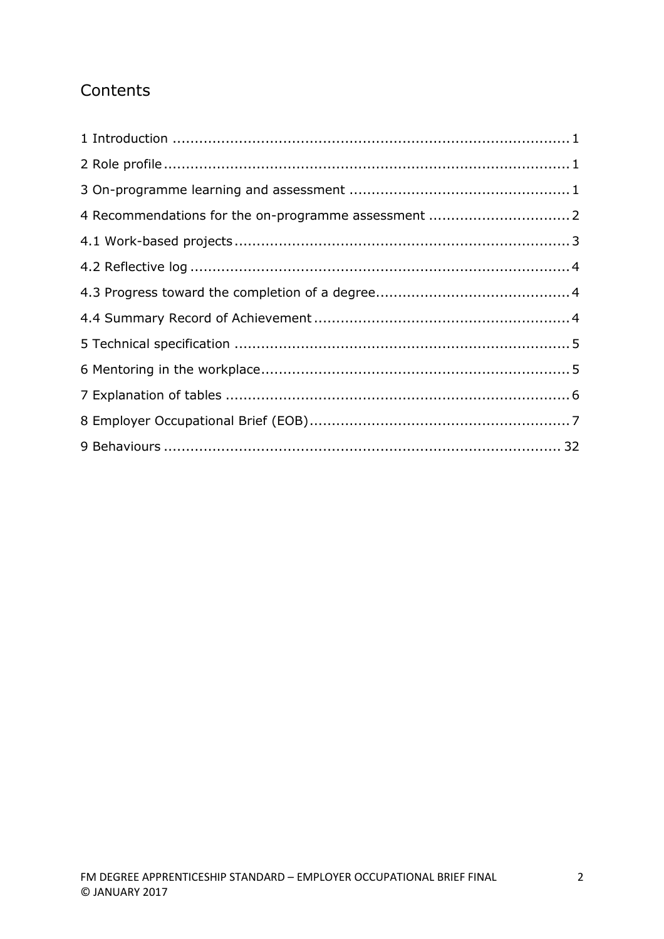## **Contents**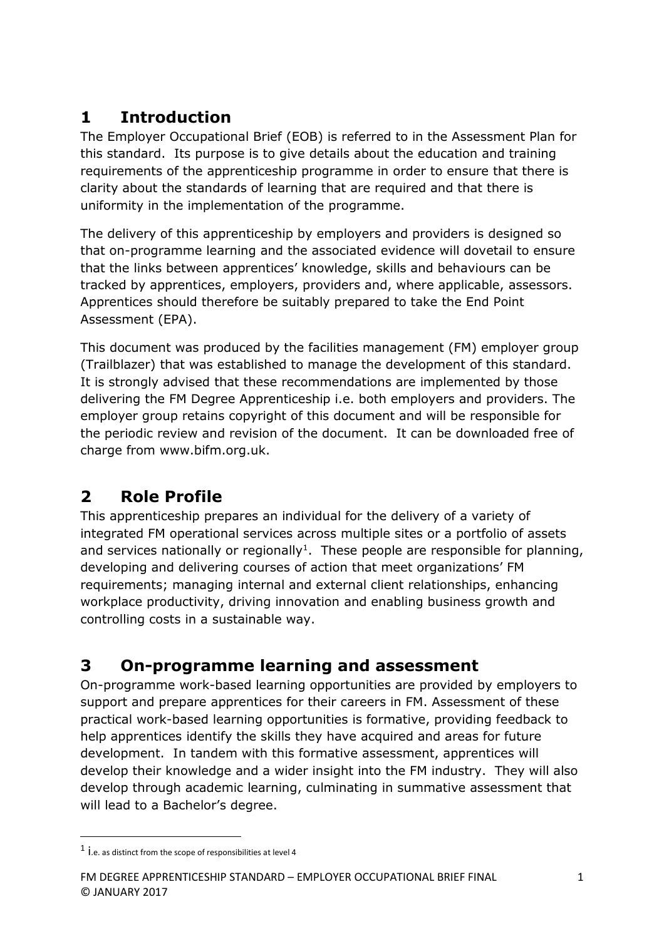## **1 Introduction**

The Employer Occupational Brief (EOB) is referred to in the Assessment Plan for this standard. Its purpose is to give details about the education and training requirements of the apprenticeship programme in order to ensure that there is clarity about the standards of learning that are required and that there is uniformity in the implementation of the programme.

The delivery of this apprenticeship by employers and providers is designed so that on-programme learning and the associated evidence will dovetail to ensure that the links between apprentices' knowledge, skills and behaviours can be tracked by apprentices, employers, providers and, where applicable, assessors. Apprentices should therefore be suitably prepared to take the End Point Assessment (EPA).

This document was produced by the facilities management (FM) employer group (Trailblazer) that was established to manage the development of this standard. It is strongly advised that these recommendations are implemented by those delivering the FM Degree Apprenticeship i.e. both employers and providers. The employer group retains copyright of this document and will be responsible for the periodic review and revision of the document. It can be downloaded free of charge from www.bifm.org.uk.

## **2 Role Profile**

This apprenticeship prepares an individual for the delivery of a variety of integrated FM operational services across multiple sites or a portfolio of assets and services nationally or regionally<sup>1</sup>. These people are responsible for planning, developing and delivering courses of action that meet organizations' FM requirements; managing internal and external client relationships, enhancing workplace productivity, driving innovation and enabling business growth and controlling costs in a sustainable way.

## **3 On-programme learning and assessment**

On-programme work-based learning opportunities are provided by employers to support and prepare apprentices for their careers in FM. Assessment of these practical work-based learning opportunities is formative, providing feedback to help apprentices identify the skills they have acquired and areas for future development. In tandem with this formative assessment, apprentices will develop their knowledge and a wider insight into the FM industry. They will also develop through academic learning, culminating in summative assessment that will lead to a Bachelor's degree.

 $\overline{\phantom{a}}$ 

 $^1$  l.e. as distinct from the scope of responsibilities at level 4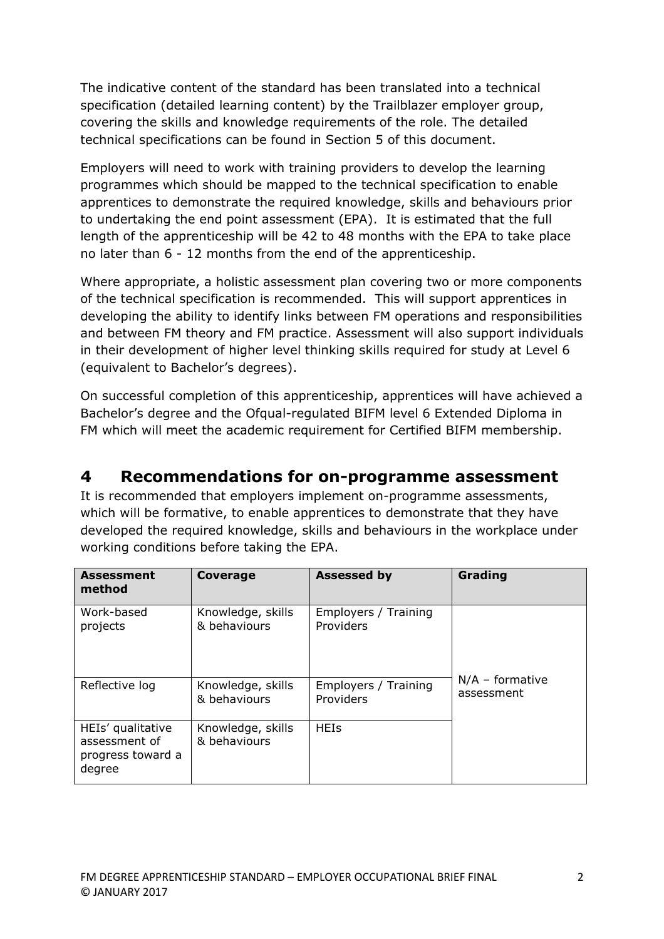The indicative content of the standard has been translated into a technical specification (detailed learning content) by the Trailblazer employer group, covering the skills and knowledge requirements of the role. The detailed technical specifications can be found in Section 5 of this document.

Employers will need to work with training providers to develop the learning programmes which should be mapped to the technical specification to enable apprentices to demonstrate the required knowledge, skills and behaviours prior to undertaking the end point assessment (EPA). It is estimated that the full length of the apprenticeship will be 42 to 48 months with the EPA to take place no later than 6 - 12 months from the end of the apprenticeship.

Where appropriate, a holistic assessment plan covering two or more components of the technical specification is recommended. This will support apprentices in developing the ability to identify links between FM operations and responsibilities and between FM theory and FM practice. Assessment will also support individuals in their development of higher level thinking skills required for study at Level 6 (equivalent to Bachelor's degrees).

On successful completion of this apprenticeship, apprentices will have achieved a Bachelor's degree and the Ofqual-regulated BIFM level 6 Extended Diploma in FM which will meet the academic requirement for Certified BIFM membership.

### **4 Recommendations for on-programme assessment**

It is recommended that employers implement on-programme assessments, which will be formative, to enable apprentices to demonstrate that they have developed the required knowledge, skills and behaviours in the workplace under working conditions before taking the EPA.

| <b>Assessment</b><br>method                                       | Coverage                          | <b>Assessed by</b>   | Grading           |
|-------------------------------------------------------------------|-----------------------------------|----------------------|-------------------|
| Work-based                                                        | Knowledge, skills                 | Employers / Training |                   |
| projects                                                          | & behaviours                      | Providers            |                   |
| Reflective log                                                    | Knowledge, skills                 | Employers / Training | $N/A$ – formative |
|                                                                   | & behaviours                      | Providers            | assessment        |
| HEIs' qualitative<br>assessment of<br>progress toward a<br>degree | Knowledge, skills<br>& behaviours | <b>HEIs</b>          |                   |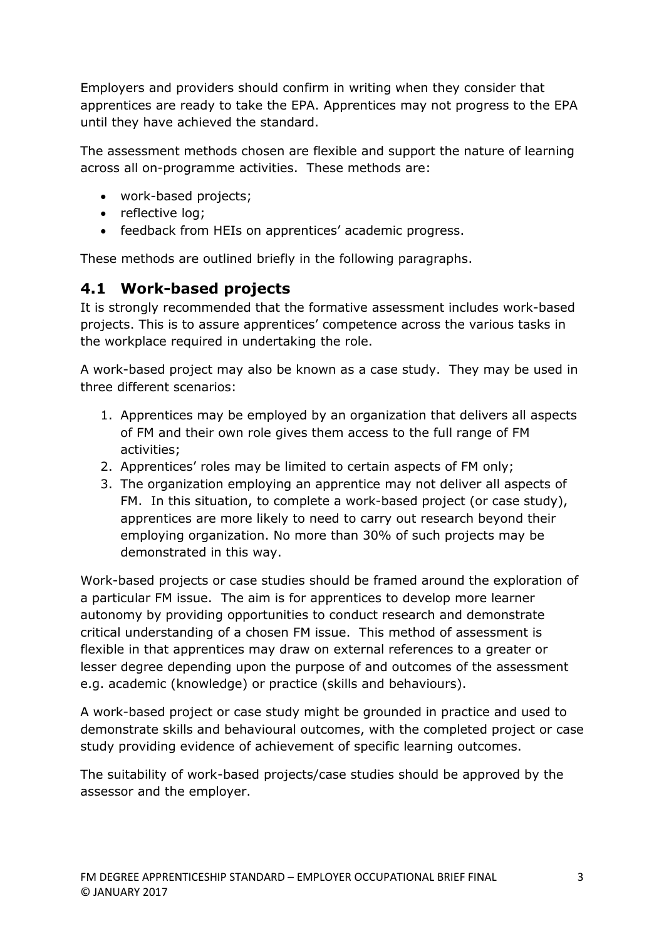Employers and providers should confirm in writing when they consider that apprentices are ready to take the EPA. Apprentices may not progress to the EPA until they have achieved the standard.

The assessment methods chosen are flexible and support the nature of learning across all on-programme activities. These methods are:

- work-based projects;
- reflective log;
- feedback from HEIs on apprentices' academic progress.

These methods are outlined briefly in the following paragraphs.

### **4.1 Work-based projects**

It is strongly recommended that the formative assessment includes work-based projects. This is to assure apprentices' competence across the various tasks in the workplace required in undertaking the role.

A work-based project may also be known as a case study. They may be used in three different scenarios:

- 1. Apprentices may be employed by an organization that delivers all aspects of FM and their own role gives them access to the full range of FM activities;
- 2. Apprentices' roles may be limited to certain aspects of FM only;
- 3. The organization employing an apprentice may not deliver all aspects of FM. In this situation, to complete a work-based project (or case study), apprentices are more likely to need to carry out research beyond their employing organization. No more than 30% of such projects may be demonstrated in this way.

Work-based projects or case studies should be framed around the exploration of a particular FM issue. The aim is for apprentices to develop more learner autonomy by providing opportunities to conduct research and demonstrate critical understanding of a chosen FM issue. This method of assessment is flexible in that apprentices may draw on external references to a greater or lesser degree depending upon the purpose of and outcomes of the assessment e.g. academic (knowledge) or practice (skills and behaviours).

A work-based project or case study might be grounded in practice and used to demonstrate skills and behavioural outcomes, with the completed project or case study providing evidence of achievement of specific learning outcomes.

The suitability of work-based projects/case studies should be approved by the assessor and the employer.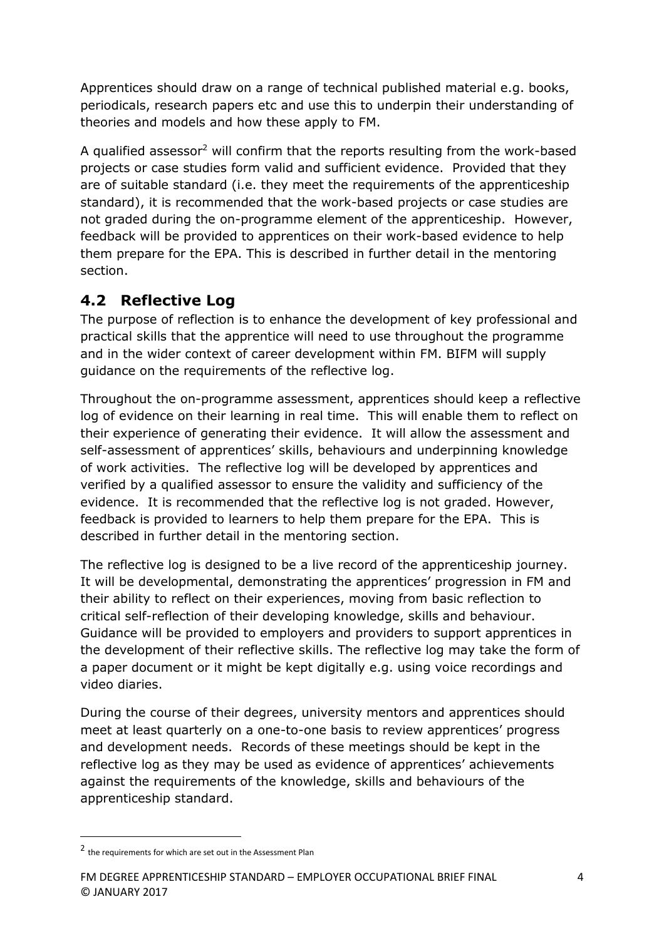Apprentices should draw on a range of technical published material e.g. books, periodicals, research papers etc and use this to underpin their understanding of theories and models and how these apply to FM.

A qualified assessor<sup>2</sup> will confirm that the reports resulting from the work-based projects or case studies form valid and sufficient evidence. Provided that they are of suitable standard (i.e. they meet the requirements of the apprenticeship standard), it is recommended that the work-based projects or case studies are not graded during the on-programme element of the apprenticeship. However, feedback will be provided to apprentices on their work-based evidence to help them prepare for the EPA. This is described in further detail in the mentoring section.

### **4.2 Reflective Log**

The purpose of reflection is to enhance the development of key professional and practical skills that the apprentice will need to use throughout the programme and in the wider context of career development within FM. BIFM will supply guidance on the requirements of the reflective log.

Throughout the on-programme assessment, apprentices should keep a reflective log of evidence on their learning in real time. This will enable them to reflect on their experience of generating their evidence. It will allow the assessment and self-assessment of apprentices' skills, behaviours and underpinning knowledge of work activities. The reflective log will be developed by apprentices and verified by a qualified assessor to ensure the validity and sufficiency of the evidence. It is recommended that the reflective log is not graded. However, feedback is provided to learners to help them prepare for the EPA. This is described in further detail in the mentoring section.

The reflective log is designed to be a live record of the apprenticeship journey. It will be developmental, demonstrating the apprentices' progression in FM and their ability to reflect on their experiences, moving from basic reflection to critical self-reflection of their developing knowledge, skills and behaviour. Guidance will be provided to employers and providers to support apprentices in the development of their reflective skills. The reflective log may take the form of a paper document or it might be kept digitally e.g. using voice recordings and video diaries.

During the course of their degrees, university mentors and apprentices should meet at least quarterly on a one-to-one basis to review apprentices' progress and development needs. Records of these meetings should be kept in the reflective log as they may be used as evidence of apprentices' achievements against the requirements of the knowledge, skills and behaviours of the apprenticeship standard.

 $\overline{\phantom{a}}$ 

<sup>2</sup> the requirements for which are set out in the Assessment Plan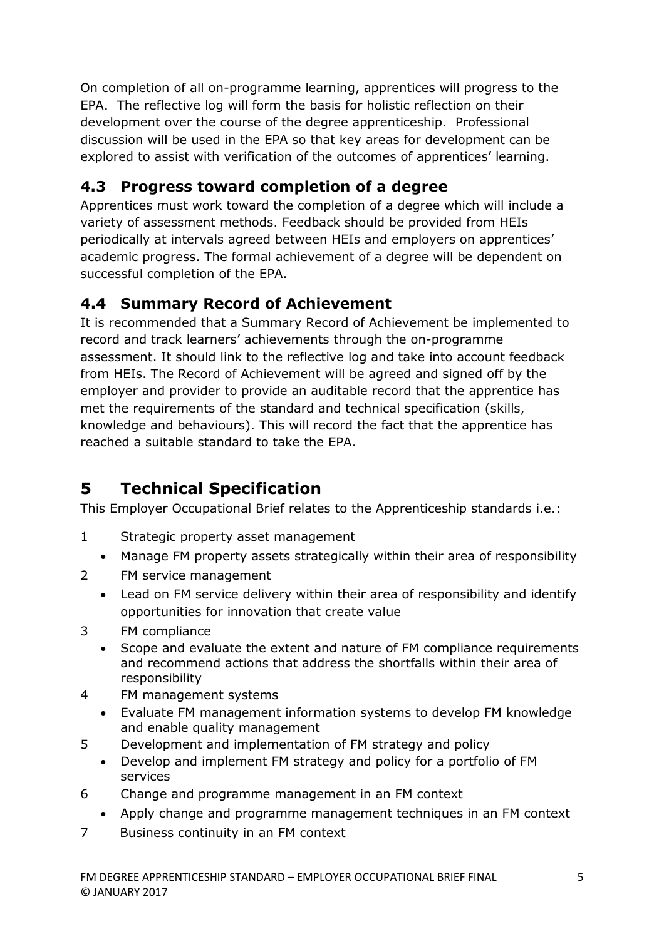On completion of all on-programme learning, apprentices will progress to the EPA. The reflective log will form the basis for holistic reflection on their development over the course of the degree apprenticeship. Professional discussion will be used in the EPA so that key areas for development can be explored to assist with verification of the outcomes of apprentices' learning.

## **4.3 Progress toward completion of a degree**

Apprentices must work toward the completion of a degree which will include a variety of assessment methods. Feedback should be provided from HEIs periodically at intervals agreed between HEIs and employers on apprentices' academic progress. The formal achievement of a degree will be dependent on successful completion of the EPA.

### **4.4 Summary Record of Achievement**

It is recommended that a Summary Record of Achievement be implemented to record and track learners' achievements through the on-programme assessment. It should link to the reflective log and take into account feedback from HEIs. The Record of Achievement will be agreed and signed off by the employer and provider to provide an auditable record that the apprentice has met the requirements of the standard and technical specification (skills, knowledge and behaviours). This will record the fact that the apprentice has reached a suitable standard to take the EPA.

## **5 Technical Specification**

This Employer Occupational Brief relates to the Apprenticeship standards i.e.:

- 1 Strategic property asset management
	- Manage FM property assets strategically within their area of responsibility
- 2 FM service management
	- Lead on FM service delivery within their area of responsibility and identify opportunities for innovation that create value
- 3 FM compliance
	- Scope and evaluate the extent and nature of FM compliance requirements and recommend actions that address the shortfalls within their area of responsibility
- 4 FM management systems
	- Evaluate FM management information systems to develop FM knowledge and enable quality management
- 5 Development and implementation of FM strategy and policy
	- Develop and implement FM strategy and policy for a portfolio of FM services
- 6 Change and programme management in an FM context
	- Apply change and programme management techniques in an FM context
- 7 Business continuity in an FM context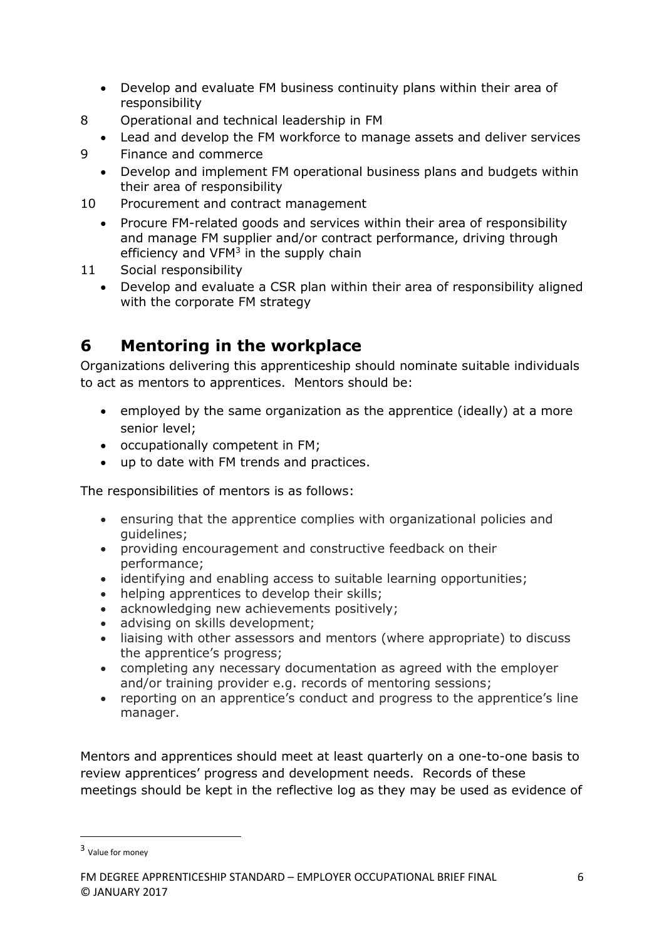- Develop and evaluate FM business continuity plans within their area of responsibility
- 8 Operational and technical leadership in FM
	- Lead and develop the FM workforce to manage assets and deliver services
- 9 Finance and commerce
	- Develop and implement FM operational business plans and budgets within their area of responsibility
- 10 Procurement and contract management
	- Procure FM-related goods and services within their area of responsibility and manage FM supplier and/or contract performance, driving through efficiency and VFM<sup>3</sup> in the supply chain
- 11 Social responsibility
	- Develop and evaluate a CSR plan within their area of responsibility aligned with the corporate FM strategy

## **6 Mentoring in the workplace**

Organizations delivering this apprenticeship should nominate suitable individuals to act as mentors to apprentices. Mentors should be:

- employed by the same organization as the apprentice (ideally) at a more senior level;
- occupationally competent in FM;
- up to date with FM trends and practices.

The responsibilities of mentors is as follows:

- ensuring that the apprentice complies with organizational policies and guidelines;
- providing encouragement and constructive feedback on their performance;
- identifying and enabling access to suitable learning opportunities;
- helping apprentices to develop their skills;
- acknowledging new achievements positively;
- advising on skills development;
- liaising with other assessors and mentors (where appropriate) to discuss the apprentice's progress;
- completing any necessary documentation as agreed with the employer and/or training provider e.g. records of mentoring sessions;
- reporting on an apprentice's conduct and progress to the apprentice's line manager.

Mentors and apprentices should meet at least quarterly on a one-to-one basis to review apprentices' progress and development needs. Records of these meetings should be kept in the reflective log as they may be used as evidence of

 $\overline{\phantom{a}}$ 

<sup>3</sup> Value for money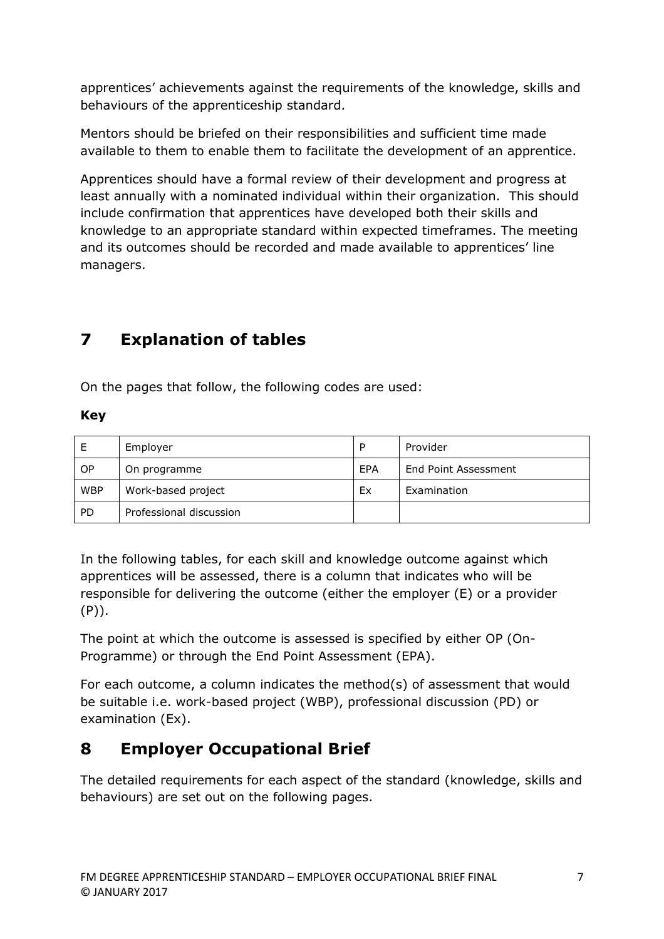apprentices' achievements against the requirements of the knowledge, skills and behaviours of the apprenticeship standard.

Mentors should be briefed on their responsibilities and sufficient time made available to them to enable them to facilitate the development of an apprentice.

Apprentices should have a formal review of their development and progress at least annually with a nominated individual within their organization. This should include confirmation that apprentices have developed both their skills and knowledge to an appropriate standard within expected timeframes. The meeting and its outcomes should be recorded and made available to apprentices' line managers.

## **7 Explanation of tables**

On the pages that follow, the following codes are used:

### **Key**

| Е          | Employer                | D          | Provider             |
|------------|-------------------------|------------|----------------------|
| OP.        | On programme            | <b>FPA</b> | End Point Assessment |
| <b>WBP</b> | Work-based project      | Ex         | Examination          |
| <b>PD</b>  | Professional discussion |            |                      |

In the following tables, for each skill and knowledge outcome against which apprentices will be assessed, there is a column that indicates who will be responsible for delivering the outcome (either the employer (E) or a provider (P)).

The point at which the outcome is assessed is specified by either OP (On-Programme) or through the End Point Assessment (EPA).

For each outcome, a column indicates the method(s) of assessment that would be suitable i.e. work-based project (WBP), professional discussion (PD) or examination (Ex).

## **8 Employer Occupational Brief**

The detailed requirements for each aspect of the standard (knowledge, skills and behaviours) are set out on the following pages.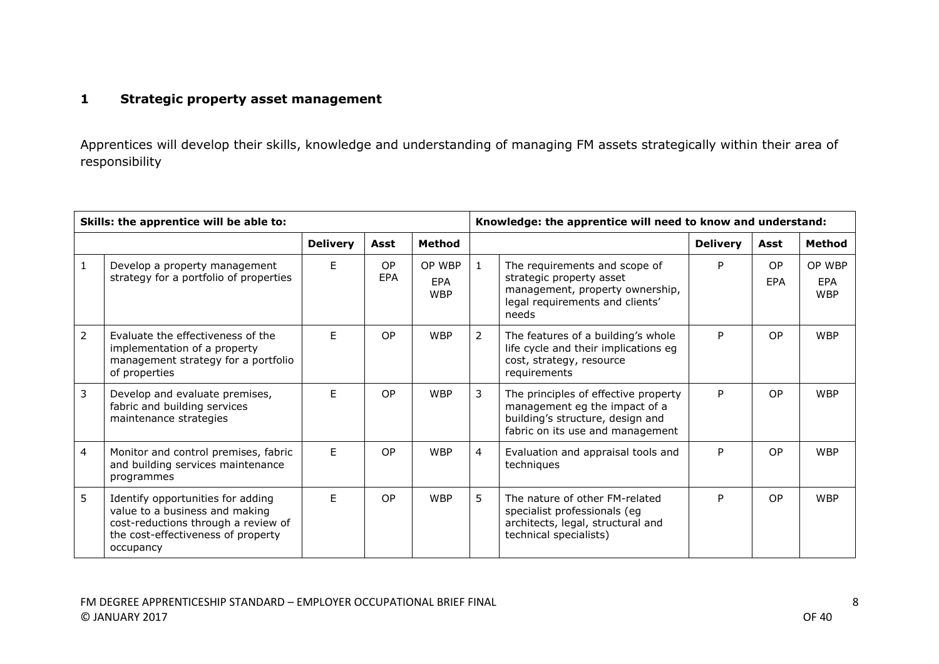### **1 Strategic property asset management**

Apprentices will develop their skills, knowledge and understanding of managing FM assets strategically within their area of responsibility

| Skills: the apprentice will be able to: |                                                                                                                                                               |                 |                         |                                    |                | Knowledge: the apprentice will need to know and understand:                                                                                   |                 |                |                                    |
|-----------------------------------------|---------------------------------------------------------------------------------------------------------------------------------------------------------------|-----------------|-------------------------|------------------------------------|----------------|-----------------------------------------------------------------------------------------------------------------------------------------------|-----------------|----------------|------------------------------------|
|                                         |                                                                                                                                                               | <b>Delivery</b> | Asst                    | <b>Method</b>                      |                |                                                                                                                                               | <b>Delivery</b> | Asst           | <b>Method</b>                      |
| 1                                       | Develop a property management<br>strategy for a portfolio of properties                                                                                       | F.              | <b>OP</b><br><b>EPA</b> | OP WBP<br><b>EPA</b><br><b>WBP</b> | $\mathbf{1}$   | The requirements and scope of<br>strategic property asset<br>management, property ownership,<br>legal requirements and clients'<br>needs      | P               | OP.<br>EPA     | OP WBP<br><b>EPA</b><br><b>WBP</b> |
| $\overline{2}$                          | Evaluate the effectiveness of the<br>implementation of a property<br>management strategy for a portfolio<br>of properties                                     | F               | <b>OP</b>               | <b>WBP</b>                         | $\overline{2}$ | The features of a building's whole<br>life cycle and their implications eg<br>cost, strategy, resource<br>requirements                        | P               | O <sub>P</sub> | <b>WBP</b>                         |
| 3                                       | Develop and evaluate premises,<br>fabric and building services<br>maintenance strategies                                                                      | F.              | <b>OP</b>               | <b>WBP</b>                         | 3              | The principles of effective property<br>management eg the impact of a<br>building's structure, design and<br>fabric on its use and management | P               | OP.            | <b>WBP</b>                         |
| 4                                       | Monitor and control premises, fabric<br>and building services maintenance<br>programmes                                                                       | F               | <b>OP</b>               | <b>WBP</b>                         | 4              | Evaluation and appraisal tools and<br>techniques                                                                                              | P               | O <sub>P</sub> | <b>WBP</b>                         |
| 5                                       | Identify opportunities for adding<br>value to a business and making<br>cost-reductions through a review of<br>the cost-effectiveness of property<br>occupancy | F.              | <b>OP</b>               | <b>WBP</b>                         | 5.             | The nature of other FM-related<br>specialist professionals (eg<br>architects, legal, structural and<br>technical specialists)                 | P               | O <sub>P</sub> | <b>WBP</b>                         |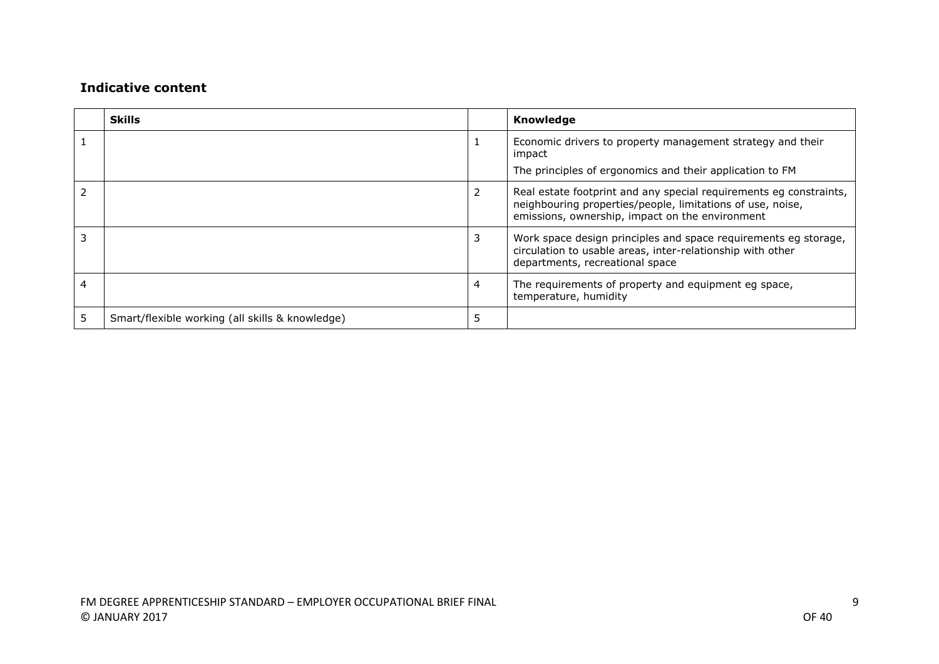|   | <b>Skills</b>                                   |   | Knowledge                                                                                                                                                                           |
|---|-------------------------------------------------|---|-------------------------------------------------------------------------------------------------------------------------------------------------------------------------------------|
|   |                                                 |   | Economic drivers to property management strategy and their<br>impact<br>The principles of ergonomics and their application to FM                                                    |
|   |                                                 | 2 | Real estate footprint and any special requirements eg constraints,<br>neighbouring properties/people, limitations of use, noise,<br>emissions, ownership, impact on the environment |
|   |                                                 | 3 | Work space design principles and space requirements eg storage,<br>circulation to usable areas, inter-relationship with other<br>departments, recreational space                    |
| 4 |                                                 | 4 | The requirements of property and equipment eg space,<br>temperature, humidity                                                                                                       |
|   | Smart/flexible working (all skills & knowledge) | 5 |                                                                                                                                                                                     |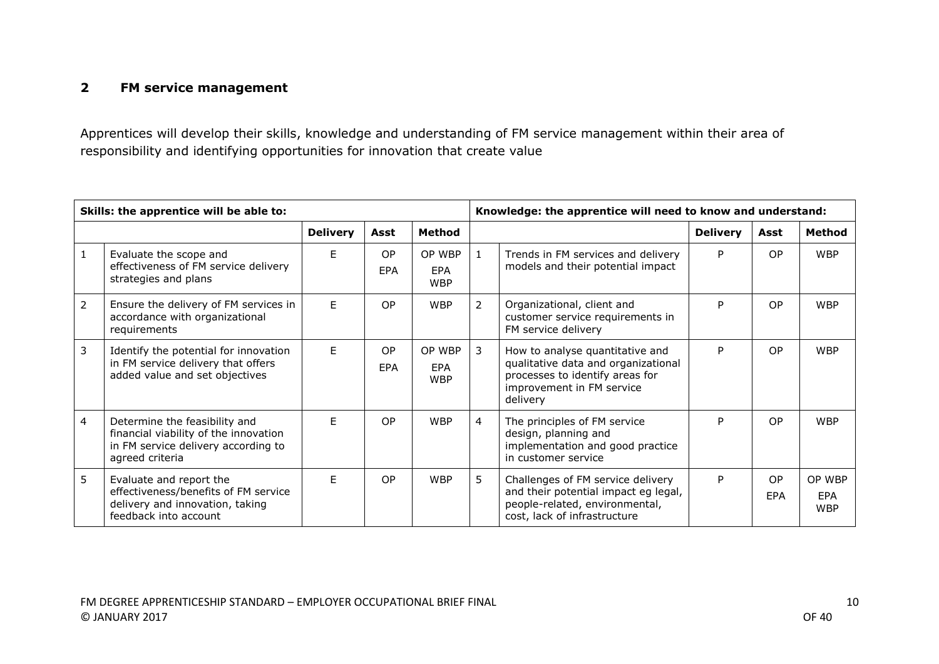#### **2 FM service management**

Apprentices will develop their skills, knowledge and understanding of FM service management within their area of responsibility and identifying opportunities for innovation that create value

|   | Skills: the apprentice will be able to:                                                                                          | Knowledge: the apprentice will need to know and understand: |                         |                                    |              |                                                                                                                                                    |                 |                              |                                    |
|---|----------------------------------------------------------------------------------------------------------------------------------|-------------------------------------------------------------|-------------------------|------------------------------------|--------------|----------------------------------------------------------------------------------------------------------------------------------------------------|-----------------|------------------------------|------------------------------------|
|   |                                                                                                                                  | <b>Delivery</b>                                             | Asst                    | Method                             |              |                                                                                                                                                    | <b>Delivery</b> | Asst                         | <b>Method</b>                      |
| 1 | Evaluate the scope and<br>effectiveness of FM service delivery<br>strategies and plans                                           | F.                                                          | <b>OP</b><br><b>EPA</b> | OP WBP<br><b>EPA</b><br><b>WBP</b> | $\mathbf{1}$ | Trends in FM services and delivery<br>models and their potential impact                                                                            | P               | <b>OP</b>                    | <b>WBP</b>                         |
| 2 | Ensure the delivery of FM services in<br>accordance with organizational<br>requirements                                          | E                                                           | <b>OP</b>               | <b>WBP</b>                         | 2            | Organizational, client and<br>customer service requirements in<br>FM service delivery                                                              | P               | <b>OP</b>                    | <b>WBP</b>                         |
| 3 | Identify the potential for innovation<br>in FM service delivery that offers<br>added value and set objectives                    | E                                                           | <b>OP</b><br><b>EPA</b> | OP WBP<br><b>FPA</b><br><b>WBP</b> | 3            | How to analyse quantitative and<br>qualitative data and organizational<br>processes to identify areas for<br>improvement in FM service<br>delivery | P               | <b>OP</b>                    | <b>WBP</b>                         |
| 4 | Determine the feasibility and<br>financial viability of the innovation<br>in FM service delivery according to<br>agreed criteria | F.                                                          | <b>OP</b>               | <b>WBP</b>                         | 4            | The principles of FM service<br>design, planning and<br>implementation and good practice<br>in customer service                                    | P               | <b>OP</b>                    | <b>WBP</b>                         |
| 5 | Evaluate and report the<br>effectiveness/benefits of FM service<br>delivery and innovation, taking<br>feedback into account      | F.                                                          | <b>OP</b>               | <b>WBP</b>                         | 5            | Challenges of FM service delivery<br>and their potential impact eg legal,<br>people-related, environmental,<br>cost, lack of infrastructure        | P               | O <sub>P</sub><br><b>FPA</b> | OP WBP<br><b>FPA</b><br><b>WBP</b> |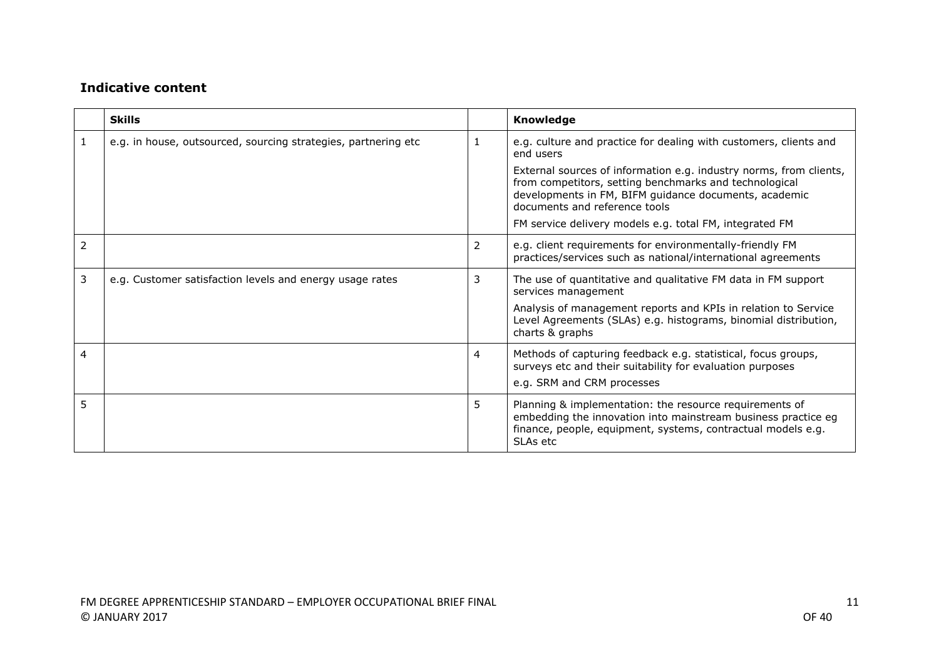|   | <b>Skills</b>                                                  |    | <b>Knowledge</b>                                                                                                                                                                                                       |
|---|----------------------------------------------------------------|----|------------------------------------------------------------------------------------------------------------------------------------------------------------------------------------------------------------------------|
| 1 | e.g. in house, outsourced, sourcing strategies, partnering etc |    | e.g. culture and practice for dealing with customers, clients and<br>end users                                                                                                                                         |
|   |                                                                |    | External sources of information e.g. industry norms, from clients,<br>from competitors, setting benchmarks and technological<br>developments in FM, BIFM guidance documents, academic<br>documents and reference tools |
|   |                                                                |    | FM service delivery models e.g. total FM, integrated FM                                                                                                                                                                |
| 2 |                                                                | 2  | e.g. client requirements for environmentally-friendly FM<br>practices/services such as national/international agreements                                                                                               |
| 3 | e.g. Customer satisfaction levels and energy usage rates       | 3  | The use of quantitative and qualitative FM data in FM support<br>services management                                                                                                                                   |
|   |                                                                |    | Analysis of management reports and KPIs in relation to Service<br>Level Agreements (SLAs) e.g. histograms, binomial distribution,<br>charts & graphs                                                                   |
| 4 |                                                                | 4  | Methods of capturing feedback e.g. statistical, focus groups,<br>surveys etc and their suitability for evaluation purposes<br>e.g. SRM and CRM processes                                                               |
| 5 |                                                                | 5. | Planning & implementation: the resource requirements of<br>embedding the innovation into mainstream business practice eg<br>finance, people, equipment, systems, contractual models e.g.<br>SLAs etc                   |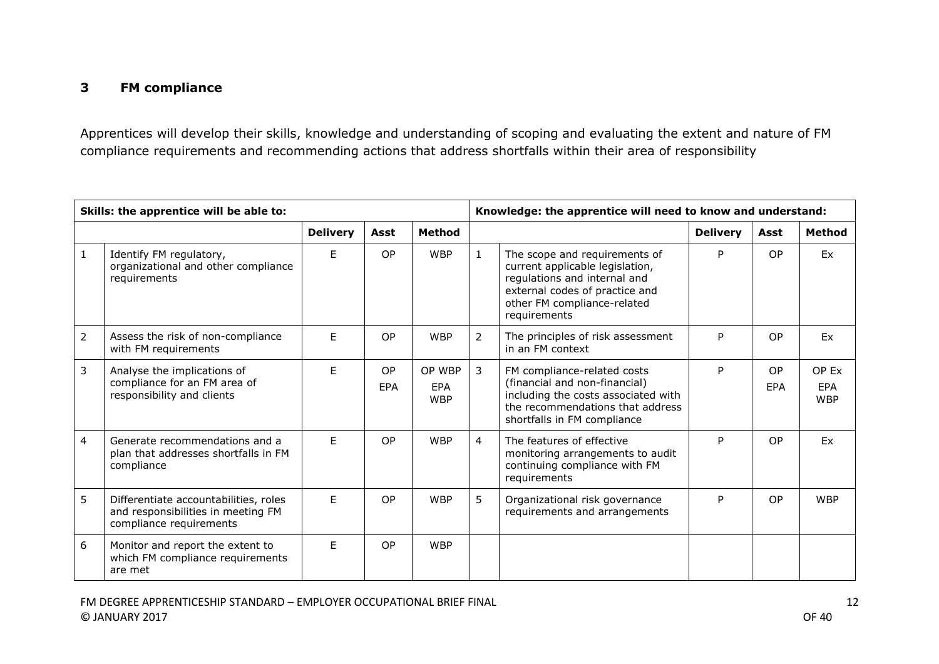### **3 FM compliance**

Apprentices will develop their skills, knowledge and understanding of scoping and evaluating the extent and nature of FM compliance requirements and recommending actions that address shortfalls within their area of responsibility

| Skills: the apprentice will be able to: |                                                                                                        |                 |                         |                                    | Knowledge: the apprentice will need to know and understand: |                                                                                                                                                                                   |                 |           |                            |
|-----------------------------------------|--------------------------------------------------------------------------------------------------------|-----------------|-------------------------|------------------------------------|-------------------------------------------------------------|-----------------------------------------------------------------------------------------------------------------------------------------------------------------------------------|-----------------|-----------|----------------------------|
|                                         |                                                                                                        | <b>Delivery</b> | Asst                    | <b>Method</b>                      |                                                             |                                                                                                                                                                                   | <b>Delivery</b> | Asst      | <b>Method</b>              |
| $\mathbf{1}$                            | Identify FM regulatory,<br>organizational and other compliance<br>requirements                         | E               | <b>OP</b>               | <b>WBP</b>                         | $\mathbf{1}$                                                | The scope and requirements of<br>current applicable legislation,<br>regulations and internal and<br>external codes of practice and<br>other FM compliance-related<br>requirements | P               | <b>OP</b> | <b>Fx</b>                  |
| $\overline{2}$                          | Assess the risk of non-compliance<br>with FM requirements                                              | F.              | <b>OP</b>               | <b>WBP</b>                         | $\overline{2}$                                              | The principles of risk assessment<br>in an FM context                                                                                                                             | P               | OP        | Ex                         |
| 3                                       | Analyse the implications of<br>compliance for an FM area of<br>responsibility and clients              | F.              | <b>OP</b><br><b>EPA</b> | OP WBP<br><b>EPA</b><br><b>WBP</b> | 3                                                           | FM compliance-related costs<br>(financial and non-financial)<br>including the costs associated with<br>the recommendations that address<br>shortfalls in FM compliance            | P               | OP<br>EPA | OP Ex<br>EPA<br><b>WBP</b> |
| 4                                       | Generate recommendations and a<br>plan that addresses shortfalls in FM<br>compliance                   | F.              | <b>OP</b>               | <b>WBP</b>                         | $\overline{4}$                                              | The features of effective<br>monitoring arrangements to audit<br>continuing compliance with FM<br>requirements                                                                    | P               | OP        | Ex                         |
| 5                                       | Differentiate accountabilities, roles<br>and responsibilities in meeting FM<br>compliance requirements | F.              | <b>OP</b>               | <b>WBP</b>                         | 5                                                           | Organizational risk governance<br>requirements and arrangements                                                                                                                   | P               | OP        | <b>WBP</b>                 |
| 6                                       | Monitor and report the extent to<br>which FM compliance requirements<br>are met                        | F               | <b>OP</b>               | <b>WBP</b>                         |                                                             |                                                                                                                                                                                   |                 |           |                            |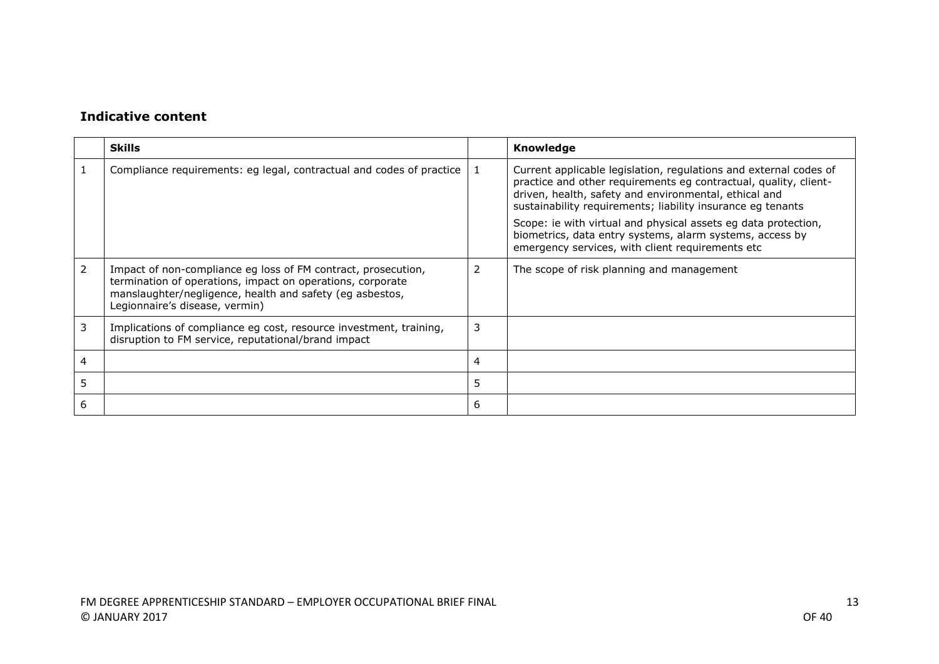|   | <b>Skills</b>                                                                                                                                                                                                             |   | Knowledge                                                                                                                                                                                                                                                     |
|---|---------------------------------------------------------------------------------------------------------------------------------------------------------------------------------------------------------------------------|---|---------------------------------------------------------------------------------------------------------------------------------------------------------------------------------------------------------------------------------------------------------------|
|   | Compliance requirements: eg legal, contractual and codes of practice                                                                                                                                                      |   | Current applicable legislation, regulations and external codes of<br>practice and other requirements eg contractual, quality, client-<br>driven, health, safety and environmental, ethical and<br>sustainability requirements; liability insurance eg tenants |
|   |                                                                                                                                                                                                                           |   | Scope: ie with virtual and physical assets eg data protection,<br>biometrics, data entry systems, alarm systems, access by<br>emergency services, with client requirements etc                                                                                |
| 2 | Impact of non-compliance eg loss of FM contract, prosecution,<br>termination of operations, impact on operations, corporate<br>manslaughter/negligence, health and safety (eg asbestos,<br>Legionnaire's disease, vermin) | 2 | The scope of risk planning and management                                                                                                                                                                                                                     |
| 3 | Implications of compliance eg cost, resource investment, training,<br>disruption to FM service, reputational/brand impact                                                                                                 | 3 |                                                                                                                                                                                                                                                               |
| 4 |                                                                                                                                                                                                                           | 4 |                                                                                                                                                                                                                                                               |
| 5 |                                                                                                                                                                                                                           | 5 |                                                                                                                                                                                                                                                               |
| 6 |                                                                                                                                                                                                                           | 6 |                                                                                                                                                                                                                                                               |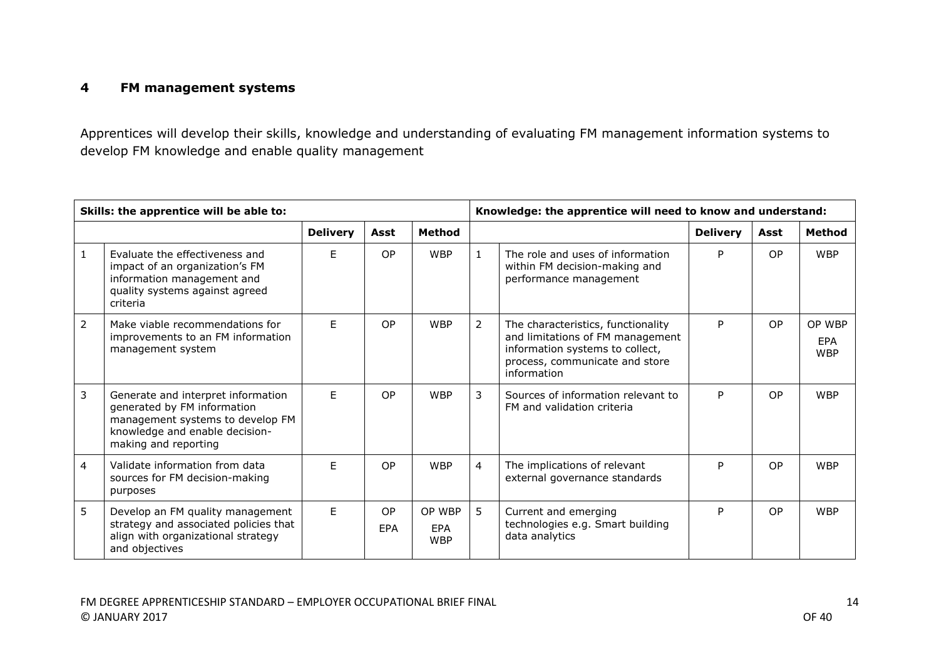### **4 FM management systems**

Apprentices will develop their skills, knowledge and understanding of evaluating FM management information systems to develop FM knowledge and enable quality management

|              | Skills: the apprentice will be able to:                                                                                                                         |                 |           |                                    |                | Knowledge: the apprentice will need to know and understand:                                                                                                |                 |           |                             |
|--------------|-----------------------------------------------------------------------------------------------------------------------------------------------------------------|-----------------|-----------|------------------------------------|----------------|------------------------------------------------------------------------------------------------------------------------------------------------------------|-----------------|-----------|-----------------------------|
|              |                                                                                                                                                                 | <b>Delivery</b> | Asst      | <b>Method</b>                      |                |                                                                                                                                                            | <b>Delivery</b> | Asst      | <b>Method</b>               |
| $\mathbf{1}$ | Evaluate the effectiveness and<br>impact of an organization's FM<br>information management and<br>quality systems against agreed<br>criteria                    | F.              | <b>OP</b> | <b>WBP</b>                         | $\mathbf{1}$   | The role and uses of information<br>within FM decision-making and<br>performance management                                                                | P               | <b>OP</b> | <b>WBP</b>                  |
| 2            | Make viable recommendations for<br>improvements to an FM information<br>management system                                                                       | F.              | OP        | <b>WBP</b>                         | 2              | The characteristics, functionality<br>and limitations of FM management<br>information systems to collect,<br>process, communicate and store<br>information | P               | <b>OP</b> | OP WBP<br>EPA<br><b>WBP</b> |
| 3            | Generate and interpret information<br>generated by FM information<br>management systems to develop FM<br>knowledge and enable decision-<br>making and reporting | F               | <b>OP</b> | <b>WBP</b>                         | 3              | Sources of information relevant to<br>FM and validation criteria                                                                                           | P               | <b>OP</b> | <b>WBP</b>                  |
| 4            | Validate information from data<br>sources for FM decision-making<br>purposes                                                                                    | F.              | <b>OP</b> | <b>WBP</b>                         | $\overline{4}$ | The implications of relevant<br>external governance standards                                                                                              | P               | <b>OP</b> | <b>WBP</b>                  |
| 5            | Develop an FM quality management<br>strategy and associated policies that<br>align with organizational strategy<br>and objectives                               | F.              | OP<br>EPA | OP WBP<br><b>EPA</b><br><b>WBP</b> | 5              | Current and emerging<br>technologies e.g. Smart building<br>data analytics                                                                                 | P               | OP        | <b>WBP</b>                  |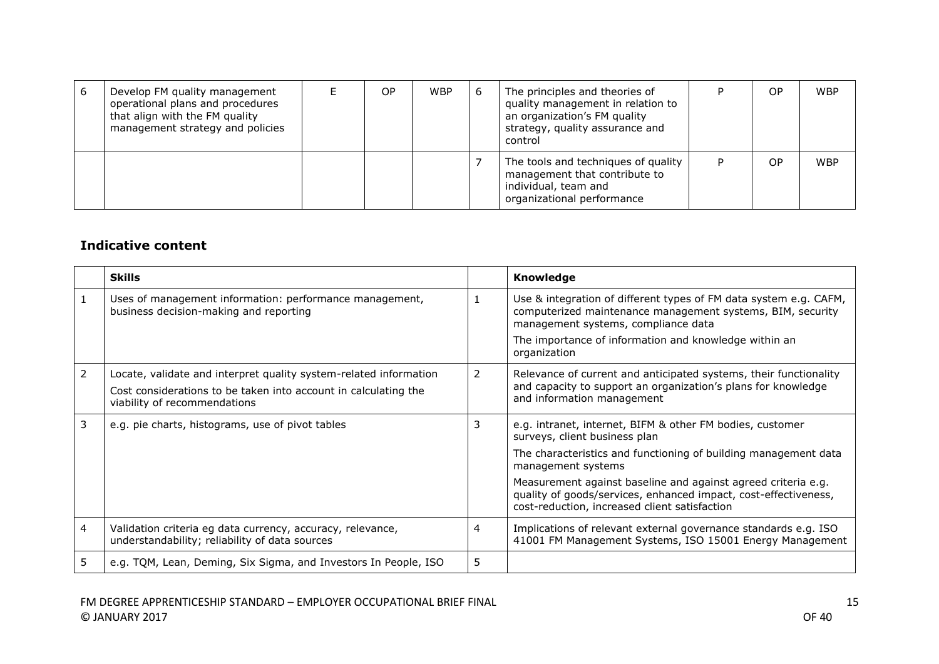| 6 | Develop FM quality management<br>operational plans and procedures<br>that align with the FM quality<br>management strategy and policies | ОP | <b>WBP</b> | 6 | The principles and theories of<br>quality management in relation to<br>an organization's FM quality<br>strategy, quality assurance and<br>control | OP             | <b>WBP</b> |
|---|-----------------------------------------------------------------------------------------------------------------------------------------|----|------------|---|---------------------------------------------------------------------------------------------------------------------------------------------------|----------------|------------|
|   |                                                                                                                                         |    |            |   | The tools and techniques of quality<br>management that contribute to<br>individual, team and<br>organizational performance                        | O <sub>P</sub> | <b>WBP</b> |

|   | <b>Skills</b>                                                                                                                                                        |    | Knowledge                                                                                                                                                                         |
|---|----------------------------------------------------------------------------------------------------------------------------------------------------------------------|----|-----------------------------------------------------------------------------------------------------------------------------------------------------------------------------------|
|   | Uses of management information: performance management,<br>business decision-making and reporting                                                                    |    | Use & integration of different types of FM data system e.g. CAFM,<br>computerized maintenance management systems, BIM, security<br>management systems, compliance data            |
|   |                                                                                                                                                                      |    | The importance of information and knowledge within an<br>organization                                                                                                             |
| 2 | Locate, validate and interpret quality system-related information<br>Cost considerations to be taken into account in calculating the<br>viability of recommendations | 2  | Relevance of current and anticipated systems, their functionality<br>and capacity to support an organization's plans for knowledge<br>and information management                  |
| 3 | e.g. pie charts, histograms, use of pivot tables                                                                                                                     | 3  | e.g. intranet, internet, BIFM & other FM bodies, customer<br>surveys, client business plan                                                                                        |
|   |                                                                                                                                                                      |    | The characteristics and functioning of building management data<br>management systems                                                                                             |
|   |                                                                                                                                                                      |    | Measurement against baseline and against agreed criteria e.g.<br>quality of goods/services, enhanced impact, cost-effectiveness,<br>cost-reduction, increased client satisfaction |
| 4 | Validation criteria eg data currency, accuracy, relevance,<br>understandability; reliability of data sources                                                         | 4  | Implications of relevant external governance standards e.g. ISO<br>41001 FM Management Systems, ISO 15001 Energy Management                                                       |
| 5 | e.g. TQM, Lean, Deming, Six Sigma, and Investors In People, ISO                                                                                                      | 5. |                                                                                                                                                                                   |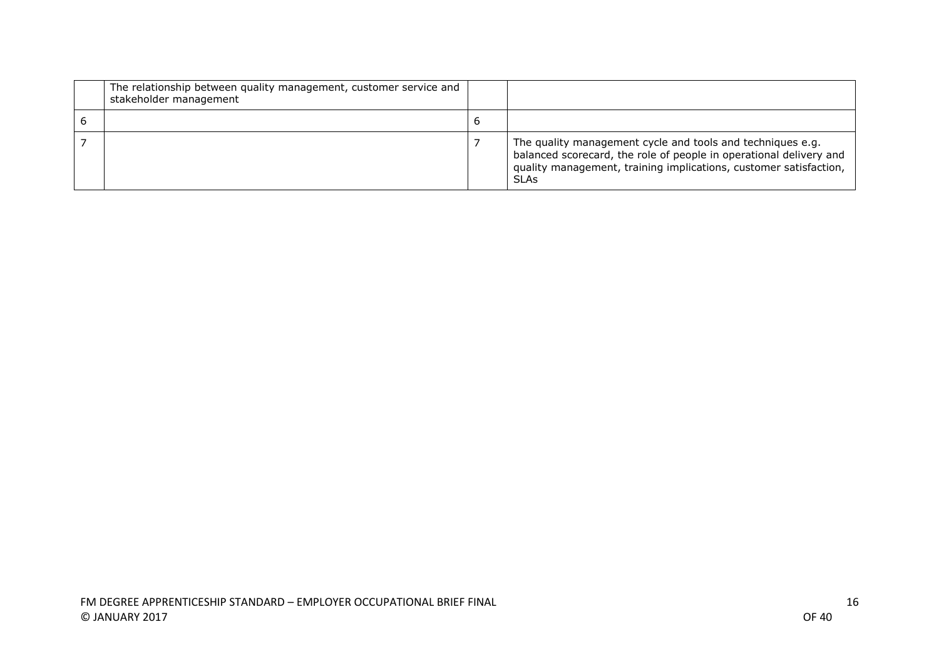| The relationship between quality management, customer service and<br>stakeholder management |   |                                                                                                                                                                                                                      |
|---------------------------------------------------------------------------------------------|---|----------------------------------------------------------------------------------------------------------------------------------------------------------------------------------------------------------------------|
|                                                                                             | O |                                                                                                                                                                                                                      |
|                                                                                             |   | The quality management cycle and tools and techniques e.g.<br>balanced scorecard, the role of people in operational delivery and<br>quality management, training implications, customer satisfaction,<br><b>SLAs</b> |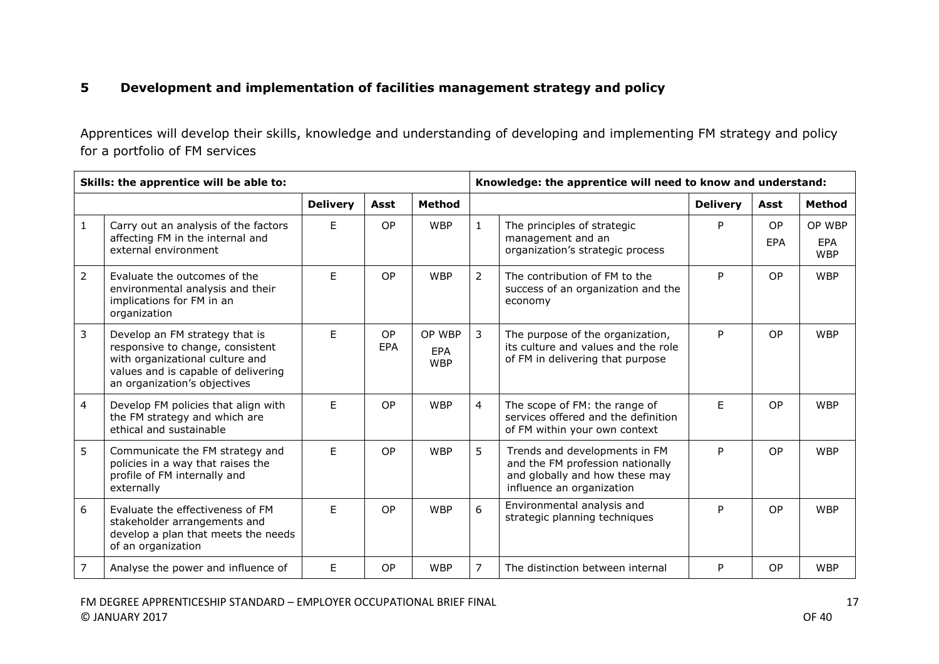### **5 Development and implementation of facilities management strategy and policy**

Apprentices will develop their skills, knowledge and understanding of developing and implementing FM strategy and policy for a portfolio of FM services

|                | Skills: the apprentice will be able to:                                                                                                                                      |                 |                  |                                    |                | Knowledge: the apprentice will need to know and understand:                                                                      |                 |                  |                                    |  |
|----------------|------------------------------------------------------------------------------------------------------------------------------------------------------------------------------|-----------------|------------------|------------------------------------|----------------|----------------------------------------------------------------------------------------------------------------------------------|-----------------|------------------|------------------------------------|--|
|                |                                                                                                                                                                              | <b>Delivery</b> | Asst             | <b>Method</b>                      |                |                                                                                                                                  | <b>Delivery</b> | Asst             | <b>Method</b>                      |  |
| $\mathbf{1}$   | Carry out an analysis of the factors<br>affecting FM in the internal and<br>external environment                                                                             | E               | <b>OP</b>        | <b>WBP</b>                         | $\mathbf{1}$   | The principles of strategic<br>management and an<br>organization's strategic process                                             | P               | <b>OP</b><br>EPA | OP WBP<br><b>EPA</b><br><b>WBP</b> |  |
| $\overline{2}$ | Evaluate the outcomes of the<br>environmental analysis and their<br>implications for FM in an<br>organization                                                                | E               | <b>OP</b>        | <b>WBP</b>                         | $\overline{2}$ | The contribution of FM to the<br>success of an organization and the<br>economy                                                   | P               | <b>OP</b>        | <b>WBP</b>                         |  |
| 3              | Develop an FM strategy that is<br>responsive to change, consistent<br>with organizational culture and<br>values and is capable of delivering<br>an organization's objectives | F               | <b>OP</b><br>EPA | OP WBP<br><b>EPA</b><br><b>WBP</b> | 3              | The purpose of the organization,<br>its culture and values and the role<br>of FM in delivering that purpose                      | P               | <b>OP</b>        | <b>WBP</b>                         |  |
| 4              | Develop FM policies that align with<br>the FM strategy and which are<br>ethical and sustainable                                                                              | F               | <b>OP</b>        | <b>WBP</b>                         | $\overline{4}$ | The scope of FM: the range of<br>services offered and the definition<br>of FM within your own context                            | F.              | <b>OP</b>        | <b>WBP</b>                         |  |
| 5              | Communicate the FM strategy and<br>policies in a way that raises the<br>profile of FM internally and<br>externally                                                           | F               | <b>OP</b>        | <b>WBP</b>                         | 5              | Trends and developments in FM<br>and the FM profession nationally<br>and globally and how these may<br>influence an organization | P               | OP.              | <b>WBP</b>                         |  |
| 6              | Evaluate the effectiveness of FM<br>stakeholder arrangements and<br>develop a plan that meets the needs<br>of an organization                                                | E               | <b>OP</b>        | <b>WBP</b>                         | 6              | Environmental analysis and<br>strategic planning techniques                                                                      | P               | <b>OP</b>        | <b>WBP</b>                         |  |
| 7              | Analyse the power and influence of                                                                                                                                           | E               | OP               | <b>WBP</b>                         | $\overline{7}$ | The distinction between internal                                                                                                 | P               | <b>OP</b>        | <b>WBP</b>                         |  |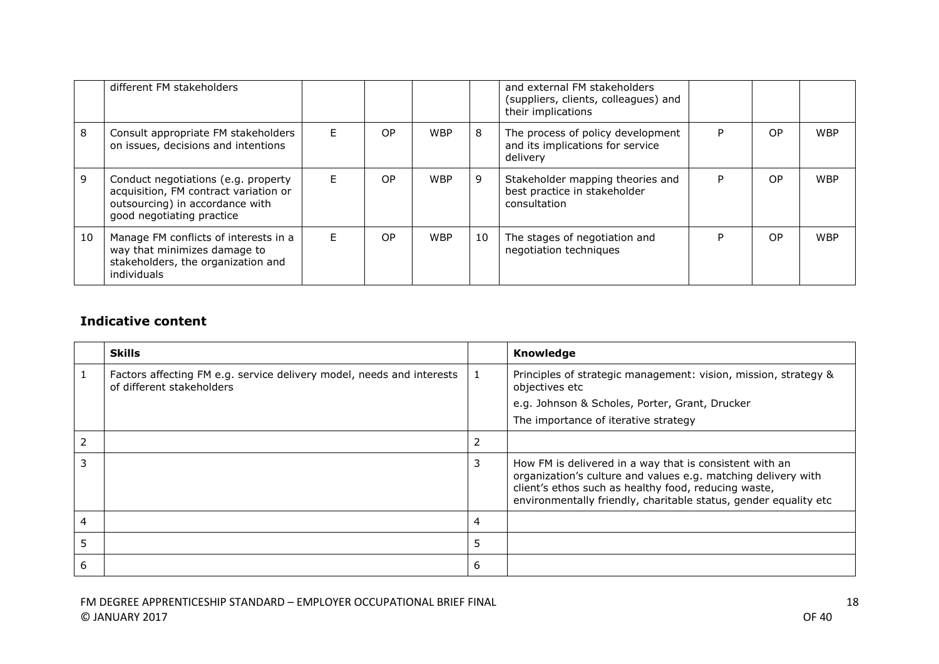|    | different FM stakeholders                                                                                                                    |   |    |            |    | and external FM stakeholders<br>(suppliers, clients, colleagues) and<br>their implications |   |           |            |
|----|----------------------------------------------------------------------------------------------------------------------------------------------|---|----|------------|----|--------------------------------------------------------------------------------------------|---|-----------|------------|
| 8  | Consult appropriate FM stakeholders<br>on issues, decisions and intentions                                                                   | Е | OP | <b>WBP</b> | 8  | The process of policy development<br>and its implications for service<br>delivery          | P | OP.       | <b>WBP</b> |
| 9  | Conduct negotiations (e.g. property<br>acquisition, FM contract variation or<br>outsourcing) in accordance with<br>good negotiating practice | E | OP | <b>WBP</b> | 9  | Stakeholder mapping theories and<br>best practice in stakeholder<br>consultation           | P | <b>OP</b> | <b>WBP</b> |
| 10 | Manage FM conflicts of interests in a<br>way that minimizes damage to<br>stakeholders, the organization and<br>individuals                   | E | OP | <b>WBP</b> | 10 | The stages of negotiation and<br>negotiation techniques                                    | D | <b>OP</b> | <b>WBP</b> |

|   | <b>Skills</b>                                                                                      |   | Knowledge                                                                                                                                                                                                                                            |
|---|----------------------------------------------------------------------------------------------------|---|------------------------------------------------------------------------------------------------------------------------------------------------------------------------------------------------------------------------------------------------------|
|   | Factors affecting FM e.g. service delivery model, needs and interests<br>of different stakeholders |   | Principles of strategic management: vision, mission, strategy &<br>objectives etc                                                                                                                                                                    |
|   |                                                                                                    |   | e.g. Johnson & Scholes, Porter, Grant, Drucker                                                                                                                                                                                                       |
|   |                                                                                                    |   | The importance of iterative strategy                                                                                                                                                                                                                 |
| 2 |                                                                                                    | 2 |                                                                                                                                                                                                                                                      |
| 3 |                                                                                                    | 3 | How FM is delivered in a way that is consistent with an<br>organization's culture and values e.g. matching delivery with<br>client's ethos such as healthy food, reducing waste,<br>environmentally friendly, charitable status, gender equality etc |
| 4 |                                                                                                    | 4 |                                                                                                                                                                                                                                                      |
| 5 |                                                                                                    | 5 |                                                                                                                                                                                                                                                      |
| 6 |                                                                                                    | 6 |                                                                                                                                                                                                                                                      |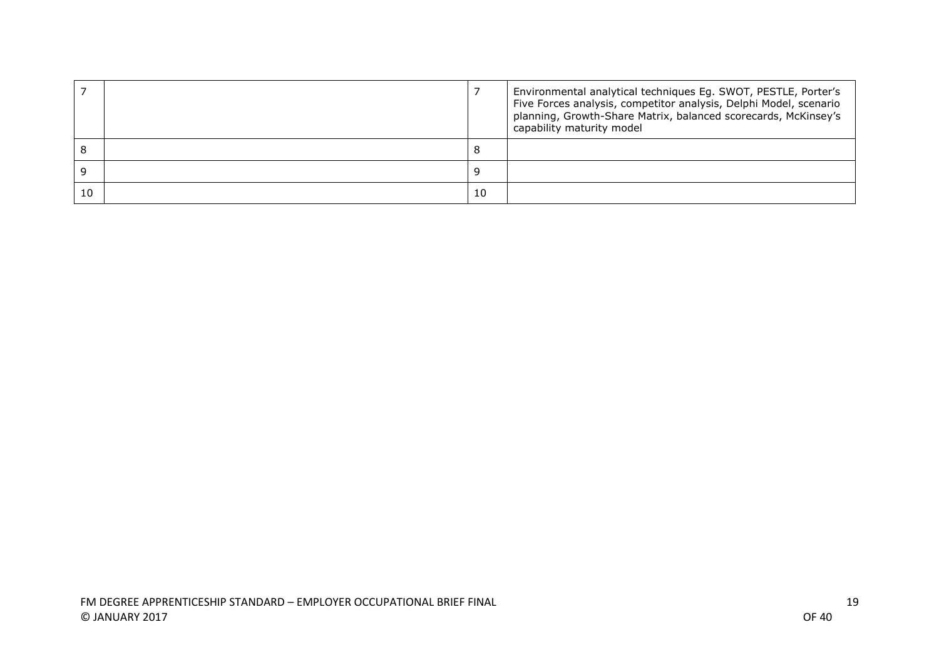|    |    | Environmental analytical techniques Eg. SWOT, PESTLE, Porter's<br>Five Forces analysis, competitor analysis, Delphi Model, scenario<br>planning, Growth-Share Matrix, balanced scorecards, McKinsey's<br>capability maturity model |
|----|----|------------------------------------------------------------------------------------------------------------------------------------------------------------------------------------------------------------------------------------|
|    | Õ  |                                                                                                                                                                                                                                    |
|    |    |                                                                                                                                                                                                                                    |
| 10 | 10 |                                                                                                                                                                                                                                    |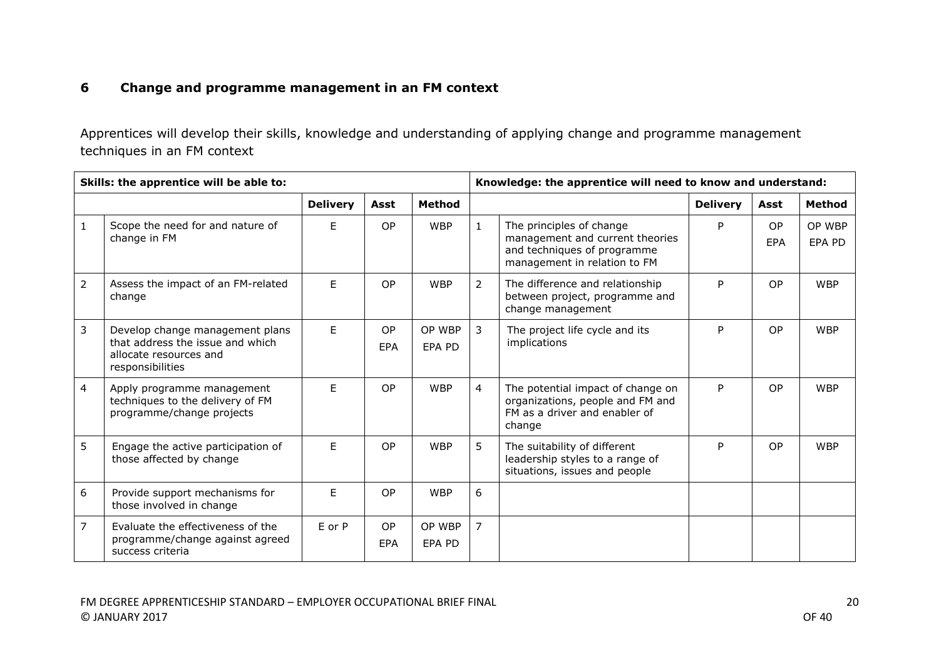### **6 Change and programme management in an FM context**

Apprentices will develop their skills, knowledge and understanding of applying change and programme management techniques in an FM context

|                | Skills: the apprentice will be able to:                                                                           |                 |                  |                  |                | Knowledge: the apprentice will need to know and understand:                                                                |                 |                  |                  |  |
|----------------|-------------------------------------------------------------------------------------------------------------------|-----------------|------------------|------------------|----------------|----------------------------------------------------------------------------------------------------------------------------|-----------------|------------------|------------------|--|
|                |                                                                                                                   | <b>Delivery</b> | Asst             | <b>Method</b>    |                |                                                                                                                            | <b>Delivery</b> | Asst             | Method           |  |
| $\mathbf{1}$   | Scope the need for and nature of<br>change in FM                                                                  | E               | <b>OP</b>        | <b>WBP</b>       | $\mathbf{1}$   | The principles of change<br>management and current theories<br>and techniques of programme<br>management in relation to FM | P               | <b>OP</b><br>EPA | OP WBP<br>EPA PD |  |
| $\overline{2}$ | Assess the impact of an FM-related<br>change                                                                      | E               | OP               | <b>WBP</b>       | $\overline{2}$ | The difference and relationship<br>between project, programme and<br>change management                                     | P               | <b>OP</b>        | <b>WBP</b>       |  |
| $\overline{3}$ | Develop change management plans<br>that address the issue and which<br>allocate resources and<br>responsibilities | E               | OP<br><b>EPA</b> | OP WBP<br>EPA PD | 3              | The project life cycle and its<br>implications                                                                             | P               | <b>OP</b>        | <b>WBP</b>       |  |
| 4              | Apply programme management<br>techniques to the delivery of FM<br>programme/change projects                       | F.              | OP               | <b>WBP</b>       | $\overline{4}$ | The potential impact of change on<br>organizations, people and FM and<br>FM as a driver and enabler of<br>change           | P               | <b>OP</b>        | <b>WBP</b>       |  |
| 5              | Engage the active participation of<br>those affected by change                                                    | F               | OP               | <b>WBP</b>       | 5              | The suitability of different<br>leadership styles to a range of<br>situations, issues and people                           | P               | <b>OP</b>        | <b>WBP</b>       |  |
| 6              | Provide support mechanisms for<br>those involved in change                                                        | E               | OP               | <b>WBP</b>       | 6              |                                                                                                                            |                 |                  |                  |  |
| $\overline{7}$ | Evaluate the effectiveness of the<br>programme/change against agreed<br>success criteria                          | E or P          | OP<br>EPA        | OP WBP<br>EPA PD | $\overline{7}$ |                                                                                                                            |                 |                  |                  |  |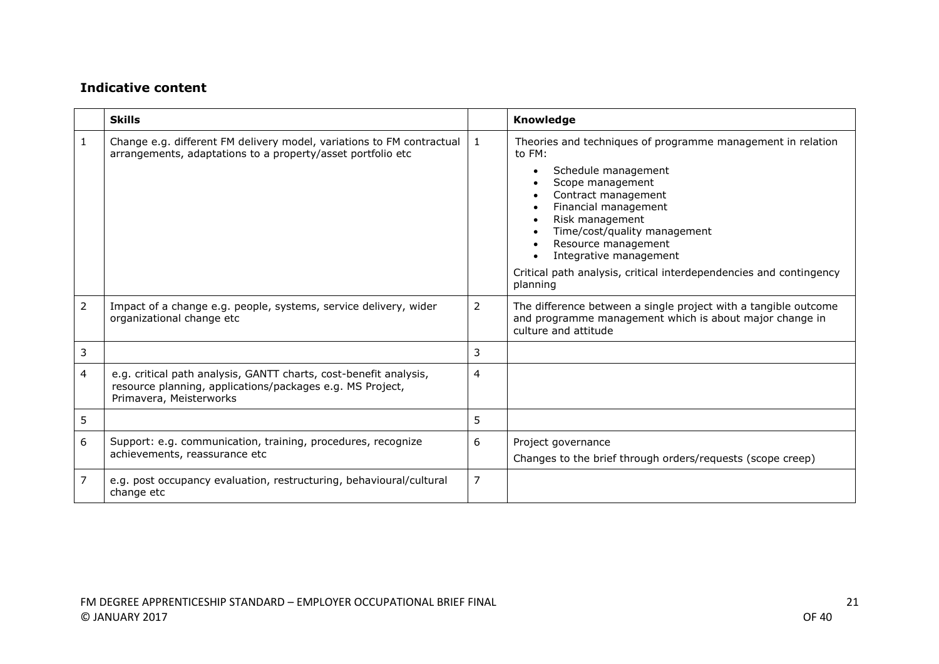|                | <b>Skills</b>                                                                                                                                             |                | Knowledge                                                                                                                                                                                                                                                                                                                                             |
|----------------|-----------------------------------------------------------------------------------------------------------------------------------------------------------|----------------|-------------------------------------------------------------------------------------------------------------------------------------------------------------------------------------------------------------------------------------------------------------------------------------------------------------------------------------------------------|
| 1              | Change e.g. different FM delivery model, variations to FM contractual<br>arrangements, adaptations to a property/asset portfolio etc                      | l 1            | Theories and techniques of programme management in relation<br>to FM:<br>Schedule management<br>Scope management<br>Contract management<br>Financial management<br>Risk management<br>Time/cost/quality management<br>Resource management<br>Integrative management<br>Critical path analysis, critical interdependencies and contingency<br>planning |
| $\overline{2}$ | Impact of a change e.g. people, systems, service delivery, wider<br>organizational change etc                                                             | 2              | The difference between a single project with a tangible outcome<br>and programme management which is about major change in<br>culture and attitude                                                                                                                                                                                                    |
| 3              |                                                                                                                                                           | 3              |                                                                                                                                                                                                                                                                                                                                                       |
| 4              | e.g. critical path analysis, GANTT charts, cost-benefit analysis,<br>resource planning, applications/packages e.g. MS Project,<br>Primavera, Meisterworks | 4              |                                                                                                                                                                                                                                                                                                                                                       |
| 5              |                                                                                                                                                           | 5              |                                                                                                                                                                                                                                                                                                                                                       |
| 6              | Support: e.g. communication, training, procedures, recognize<br>achievements, reassurance etc                                                             | 6              | Project governance<br>Changes to the brief through orders/requests (scope creep)                                                                                                                                                                                                                                                                      |
| 7              | e.g. post occupancy evaluation, restructuring, behavioural/cultural<br>change etc                                                                         | $\overline{7}$ |                                                                                                                                                                                                                                                                                                                                                       |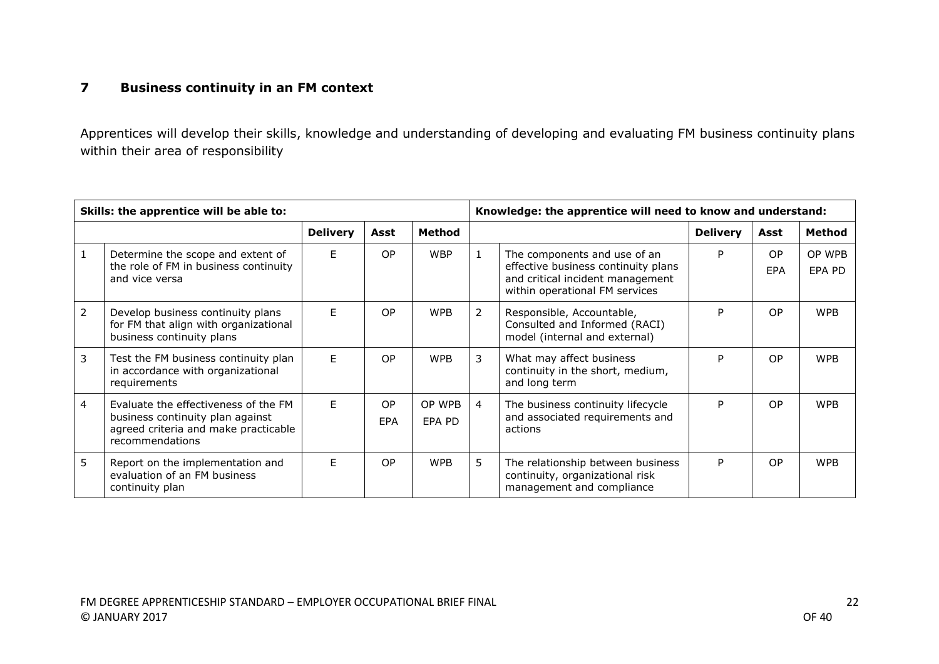#### **7 Business continuity in an FM context**

Apprentices will develop their skills, knowledge and understanding of developing and evaluating FM business continuity plans within their area of responsibility

|   | Skills: the apprentice will be able to:                                                                                             |                 |           |                  |   | Knowledge: the apprentice will need to know and understand:                                                                               |                 |                       |                  |
|---|-------------------------------------------------------------------------------------------------------------------------------------|-----------------|-----------|------------------|---|-------------------------------------------------------------------------------------------------------------------------------------------|-----------------|-----------------------|------------------|
|   |                                                                                                                                     | <b>Delivery</b> | Asst      | Method           |   |                                                                                                                                           | <b>Delivery</b> | Asst                  | <b>Method</b>    |
|   | Determine the scope and extent of<br>the role of FM in business continuity<br>and vice versa                                        | E               | <b>OP</b> | <b>WBP</b>       | 1 | The components and use of an<br>effective business continuity plans<br>and critical incident management<br>within operational FM services | P               | O <sub>P</sub><br>EPA | OP WPB<br>EPA PD |
| 2 | Develop business continuity plans<br>for FM that align with organizational<br>business continuity plans                             | E               | <b>OP</b> | <b>WPB</b>       | 2 | Responsible, Accountable,<br>Consulted and Informed (RACI)<br>model (internal and external)                                               | P               | O <sub>P</sub>        | <b>WPB</b>       |
| 3 | Test the FM business continuity plan<br>in accordance with organizational<br>requirements                                           | F.              | OP        | <b>WPB</b>       | 3 | What may affect business<br>continuity in the short, medium,<br>and long term                                                             | P               | O <sub>P</sub>        | <b>WPB</b>       |
| 4 | Evaluate the effectiveness of the FM<br>business continuity plan against<br>agreed criteria and make practicable<br>recommendations | F.              | OP<br>EPA | OP WPB<br>EPA PD | 4 | The business continuity lifecycle<br>and associated requirements and<br>actions                                                           | P               | O <sub>P</sub>        | <b>WPB</b>       |
| 5 | Report on the implementation and<br>evaluation of an FM business<br>continuity plan                                                 | F.              | OP        | <b>WPB</b>       | 5 | The relationship between business<br>continuity, organizational risk<br>management and compliance                                         | P               | O <sub>P</sub>        | <b>WPB</b>       |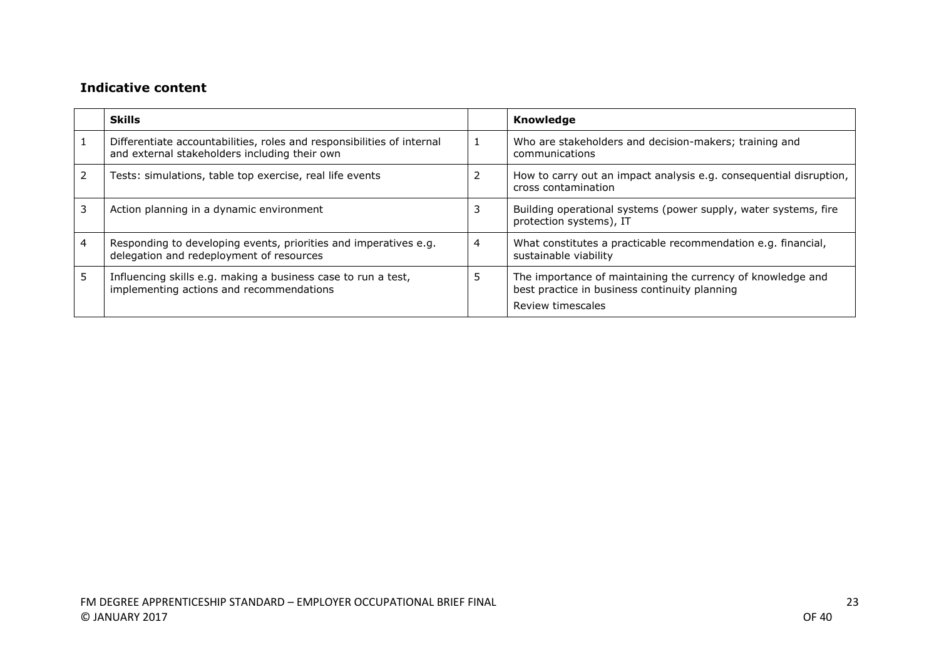|   | <b>Skills</b>                                                                                                           |   | Knowledge                                                                                                                         |
|---|-------------------------------------------------------------------------------------------------------------------------|---|-----------------------------------------------------------------------------------------------------------------------------------|
|   | Differentiate accountabilities, roles and responsibilities of internal<br>and external stakeholders including their own |   | Who are stakeholders and decision-makers; training and<br>communications                                                          |
|   | Tests: simulations, table top exercise, real life events                                                                |   | How to carry out an impact analysis e.g. consequential disruption,<br>cross contamination                                         |
|   | Action planning in a dynamic environment                                                                                |   | Building operational systems (power supply, water systems, fire<br>protection systems), IT                                        |
|   | Responding to developing events, priorities and imperatives e.g.<br>delegation and redeployment of resources            | 4 | What constitutes a practicable recommendation e.g. financial,<br>sustainable viability                                            |
| 5 | Influencing skills e.g. making a business case to run a test,<br>implementing actions and recommendations               |   | The importance of maintaining the currency of knowledge and<br>best practice in business continuity planning<br>Review timescales |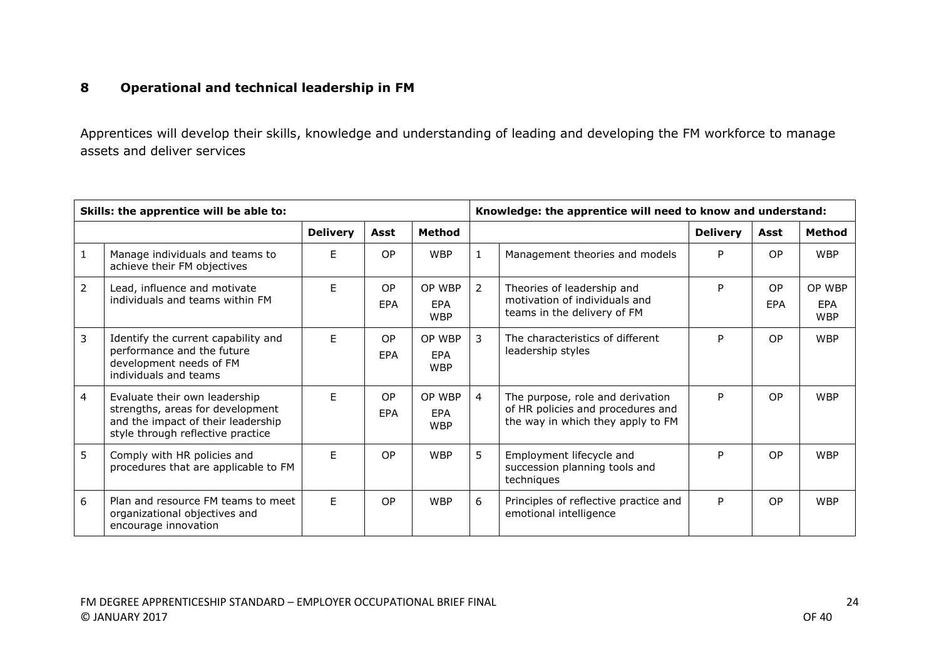### **8 Operational and technical leadership in FM**

Apprentices will develop their skills, knowledge and understanding of leading and developing the FM workforce to manage assets and deliver services

|                | Skills: the apprentice will be able to:                                                                                                      |                 |                  |                                    |                | Knowledge: the apprentice will need to know and understand:                                                |                 |                  |                             |
|----------------|----------------------------------------------------------------------------------------------------------------------------------------------|-----------------|------------------|------------------------------------|----------------|------------------------------------------------------------------------------------------------------------|-----------------|------------------|-----------------------------|
|                |                                                                                                                                              | <b>Delivery</b> | Asst             | <b>Method</b>                      |                |                                                                                                            | <b>Delivery</b> | Asst             | <b>Method</b>               |
| $\mathbf{1}$   | Manage individuals and teams to<br>achieve their FM objectives                                                                               | F               | <b>OP</b>        | <b>WBP</b>                         | $\mathbf{1}$   | Management theories and models                                                                             | P               | <b>OP</b>        | <b>WBP</b>                  |
| $\overline{2}$ | Lead, influence and motivate<br>individuals and teams within FM                                                                              | F.              | <b>OP</b><br>EPA | OP WBP<br><b>EPA</b><br><b>WBP</b> | 2              | Theories of leadership and<br>motivation of individuals and<br>teams in the delivery of FM                 | P               | <b>OP</b><br>EPA | OP WBP<br>EPA<br><b>WBP</b> |
| 3              | Identify the current capability and<br>performance and the future<br>development needs of FM<br>individuals and teams                        | F               | OP<br>EPA        | OP WBP<br><b>EPA</b><br><b>WBP</b> | 3              | The characteristics of different<br>leadership styles                                                      | Þ               | <b>OP</b>        | <b>WBP</b>                  |
| $\overline{4}$ | Evaluate their own leadership<br>strengths, areas for development<br>and the impact of their leadership<br>style through reflective practice | F               | OP<br>EPA        | OP WBP<br><b>EPA</b><br><b>WBP</b> | $\overline{4}$ | The purpose, role and derivation<br>of HR policies and procedures and<br>the way in which they apply to FM | P               | <b>OP</b>        | <b>WBP</b>                  |
| 5              | Comply with HR policies and<br>procedures that are applicable to FM                                                                          | E               | OP               | <b>WBP</b>                         | 5              | Employment lifecycle and<br>succession planning tools and<br>techniques                                    | Þ               | <b>OP</b>        | <b>WBP</b>                  |
| 6              | Plan and resource FM teams to meet<br>organizational objectives and<br>encourage innovation                                                  | F.              | OP               | <b>WBP</b>                         | 6              | Principles of reflective practice and<br>emotional intelligence                                            | P               | <b>OP</b>        | <b>WBP</b>                  |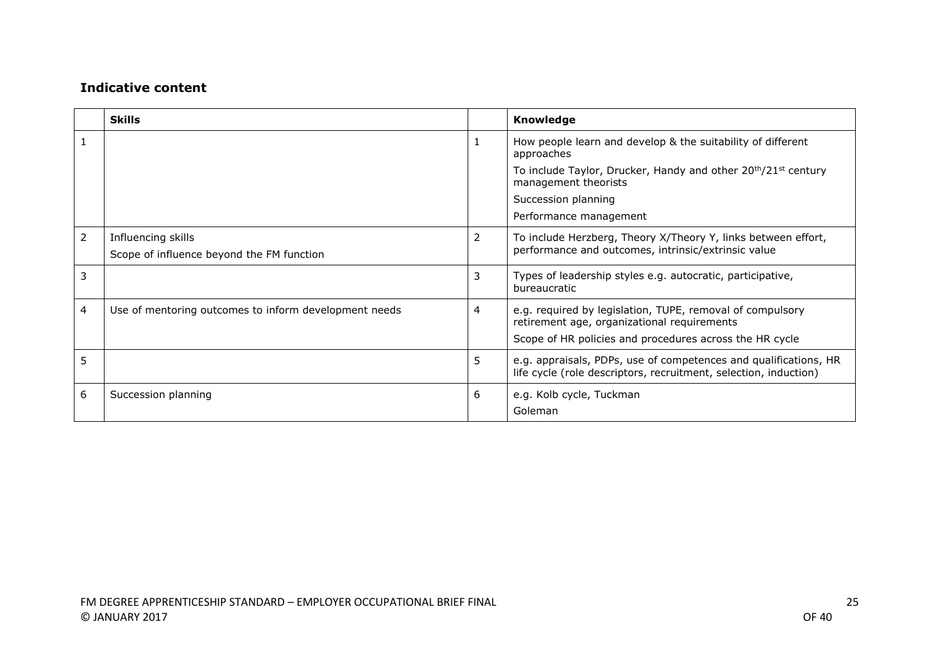|   | <b>Skills</b>                                                   |   | Knowledge                                                                                                                                                           |
|---|-----------------------------------------------------------------|---|---------------------------------------------------------------------------------------------------------------------------------------------------------------------|
|   |                                                                 | 1 | How people learn and develop & the suitability of different<br>approaches                                                                                           |
|   |                                                                 |   | To include Taylor, Drucker, Handy and other 20 <sup>th</sup> /21 <sup>st</sup> century<br>management theorists                                                      |
|   |                                                                 |   | Succession planning                                                                                                                                                 |
|   |                                                                 |   | Performance management                                                                                                                                              |
| 2 | Influencing skills<br>Scope of influence beyond the FM function | 2 | To include Herzberg, Theory X/Theory Y, links between effort,<br>performance and outcomes, intrinsic/extrinsic value                                                |
| 3 |                                                                 | 3 | Types of leadership styles e.g. autocratic, participative,<br>bureaucratic                                                                                          |
| 4 | Use of mentoring outcomes to inform development needs           | 4 | e.g. required by legislation, TUPE, removal of compulsory<br>retirement age, organizational requirements<br>Scope of HR policies and procedures across the HR cycle |
| 5 |                                                                 | 5 | e.g. appraisals, PDPs, use of competences and qualifications, HR<br>life cycle (role descriptors, recruitment, selection, induction)                                |
| 6 | Succession planning                                             | 6 | e.g. Kolb cycle, Tuckman<br>Goleman                                                                                                                                 |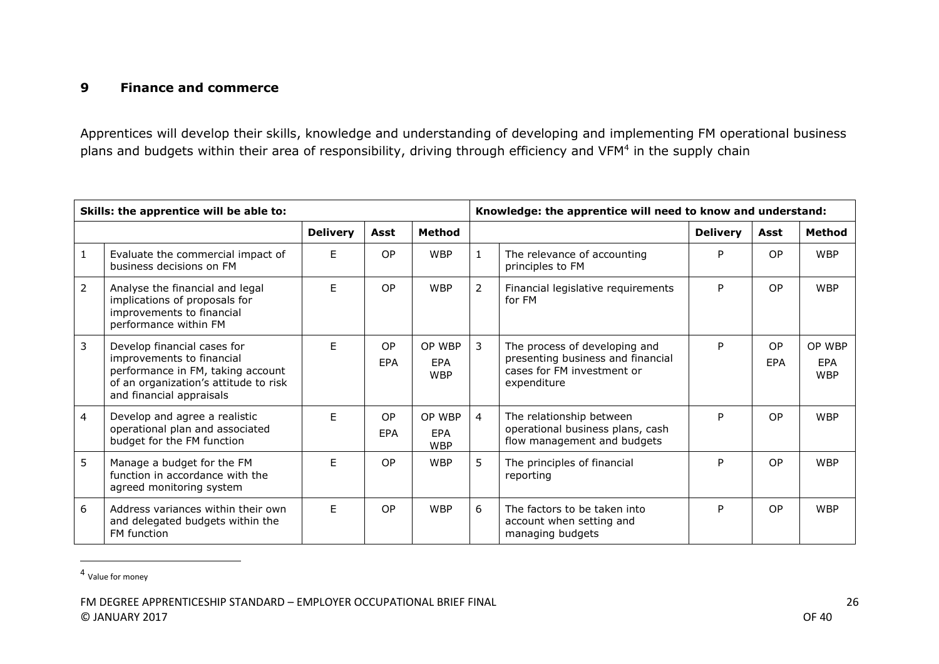#### **9 Finance and commerce**

Apprentices will develop their skills, knowledge and understanding of developing and implementing FM operational business plans and budgets within their area of responsibility, driving through efficiency and VFM<sup>4</sup> in the supply chain

|                | Skills: the apprentice will be able to:                                                                                                                            |                 |           |                                    |                | Knowledge: the apprentice will need to know and understand:                                                     |                 |                  |                             |
|----------------|--------------------------------------------------------------------------------------------------------------------------------------------------------------------|-----------------|-----------|------------------------------------|----------------|-----------------------------------------------------------------------------------------------------------------|-----------------|------------------|-----------------------------|
|                |                                                                                                                                                                    | <b>Delivery</b> | Asst      | <b>Method</b>                      |                |                                                                                                                 | <b>Delivery</b> | Asst             | Method                      |
| $\mathbf{1}$   | Evaluate the commercial impact of<br>business decisions on FM                                                                                                      | E               | <b>OP</b> | <b>WBP</b>                         | $\mathbf{1}$   | The relevance of accounting<br>principles to FM                                                                 | P               | <b>OP</b>        | <b>WBP</b>                  |
| $\overline{2}$ | Analyse the financial and legal<br>implications of proposals for<br>improvements to financial<br>performance within FM                                             | E.              | OP        | <b>WBP</b>                         | $\overline{2}$ | Financial legislative requirements<br>for FM                                                                    | P               | <b>OP</b>        | <b>WBP</b>                  |
| 3              | Develop financial cases for<br>improvements to financial<br>performance in FM, taking account<br>of an organization's attitude to risk<br>and financial appraisals | F               | OP<br>EPA | OP WBP<br>EPA<br><b>WBP</b>        | 3              | The process of developing and<br>presenting business and financial<br>cases for FM investment or<br>expenditure | P               | OP<br><b>FPA</b> | OP WBP<br>EPA<br><b>WBP</b> |
| $\overline{4}$ | Develop and agree a realistic<br>operational plan and associated<br>budget for the FM function                                                                     | F               | OP<br>EPA | OP WBP<br><b>EPA</b><br><b>WBP</b> | $\overline{4}$ | The relationship between<br>operational business plans, cash<br>flow management and budgets                     | P               | <b>OP</b>        | <b>WBP</b>                  |
| 5              | Manage a budget for the FM<br>function in accordance with the<br>agreed monitoring system                                                                          | F               | OP        | <b>WBP</b>                         | 5              | The principles of financial<br>reporting                                                                        | P               | OP               | <b>WBP</b>                  |
| 6              | Address variances within their own<br>and delegated budgets within the<br>FM function                                                                              | F               | OP        | <b>WBP</b>                         | 6              | The factors to be taken into<br>account when setting and<br>managing budgets                                    | Þ               | <b>OP</b>        | <b>WBP</b>                  |

<sup>4</sup> Value for money

 $\overline{\phantom{a}}$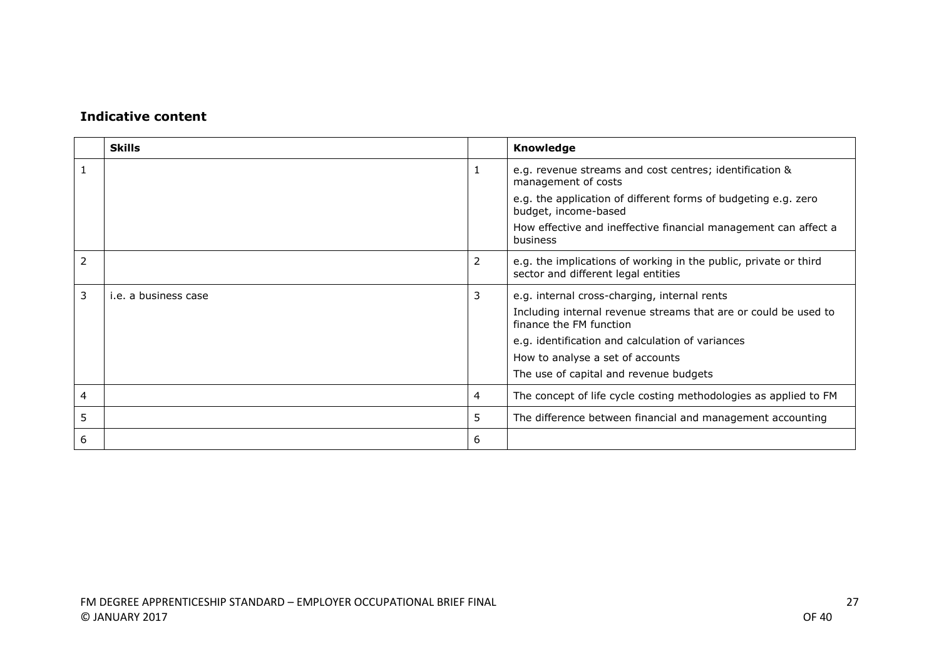|   | <b>Skills</b>        |   | Knowledge                                                                                               |
|---|----------------------|---|---------------------------------------------------------------------------------------------------------|
|   |                      | 1 | e.g. revenue streams and cost centres; identification &<br>management of costs                          |
|   |                      |   | e.g. the application of different forms of budgeting e.g. zero<br>budget, income-based                  |
|   |                      |   | How effective and ineffective financial management can affect a<br>business                             |
| 2 |                      | 2 | e.g. the implications of working in the public, private or third<br>sector and different legal entities |
| 3 | i.e. a business case | 3 | e.g. internal cross-charging, internal rents                                                            |
|   |                      |   | Including internal revenue streams that are or could be used to<br>finance the FM function              |
|   |                      |   | e.g. identification and calculation of variances                                                        |
|   |                      |   | How to analyse a set of accounts                                                                        |
|   |                      |   | The use of capital and revenue budgets                                                                  |
| 4 |                      | 4 | The concept of life cycle costing methodologies as applied to FM                                        |
| 5 |                      | 5 | The difference between financial and management accounting                                              |
| 6 |                      | 6 |                                                                                                         |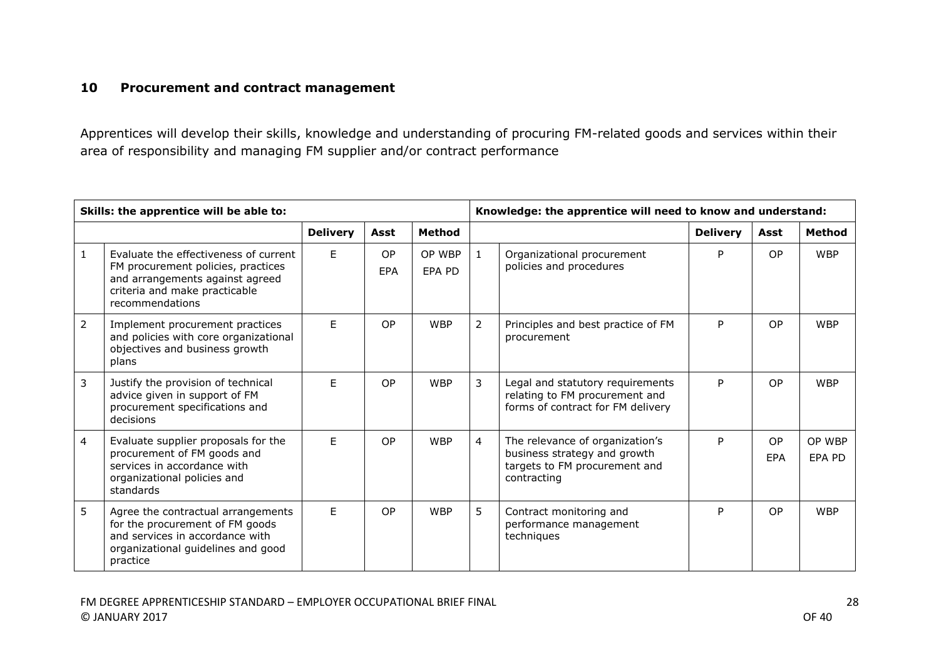#### **10 Procurement and contract management**

Apprentices will develop their skills, knowledge and understanding of procuring FM-related goods and services within their area of responsibility and managing FM supplier and/or contract performance

|                | Skills: the apprentice will be able to:                                                                                                                            |                 |                  |                  |                | Knowledge: the apprentice will need to know and understand:                                                     |                 |                  |                  |
|----------------|--------------------------------------------------------------------------------------------------------------------------------------------------------------------|-----------------|------------------|------------------|----------------|-----------------------------------------------------------------------------------------------------------------|-----------------|------------------|------------------|
|                |                                                                                                                                                                    | <b>Delivery</b> | Asst             | <b>Method</b>    |                |                                                                                                                 | <b>Delivery</b> | Asst             | <b>Method</b>    |
| $\mathbf{1}$   | Evaluate the effectiveness of current<br>FM procurement policies, practices<br>and arrangements against agreed<br>criteria and make practicable<br>recommendations | E               | <b>OP</b><br>EPA | OP WBP<br>EPA PD | $\mathbf{1}$   | Organizational procurement<br>policies and procedures                                                           | P               | <b>OP</b>        | <b>WBP</b>       |
| $\overline{2}$ | Implement procurement practices<br>and policies with core organizational<br>objectives and business growth<br>plans                                                | F.              | <b>OP</b>        | <b>WBP</b>       | $\overline{2}$ | Principles and best practice of FM<br>procurement                                                               | P               | OP               | <b>WBP</b>       |
| 3              | Justify the provision of technical<br>advice given in support of FM<br>procurement specifications and<br>decisions                                                 | E               | <b>OP</b>        | <b>WBP</b>       | 3              | Legal and statutory requirements<br>relating to FM procurement and<br>forms of contract for FM delivery         | P               | OP               | <b>WBP</b>       |
| 4              | Evaluate supplier proposals for the<br>procurement of FM goods and<br>services in accordance with<br>organizational policies and<br>standards                      | F.              | OP               | <b>WBP</b>       | 4              | The relevance of organization's<br>business strategy and growth<br>targets to FM procurement and<br>contracting | P               | <b>OP</b><br>EPA | OP WBP<br>EPA PD |
| 5              | Agree the contractual arrangements<br>for the procurement of FM goods<br>and services in accordance with<br>organizational guidelines and good<br>practice         | E               | OP               | <b>WBP</b>       | 5              | Contract monitoring and<br>performance management<br>techniques                                                 | Þ               | OP               | <b>WBP</b>       |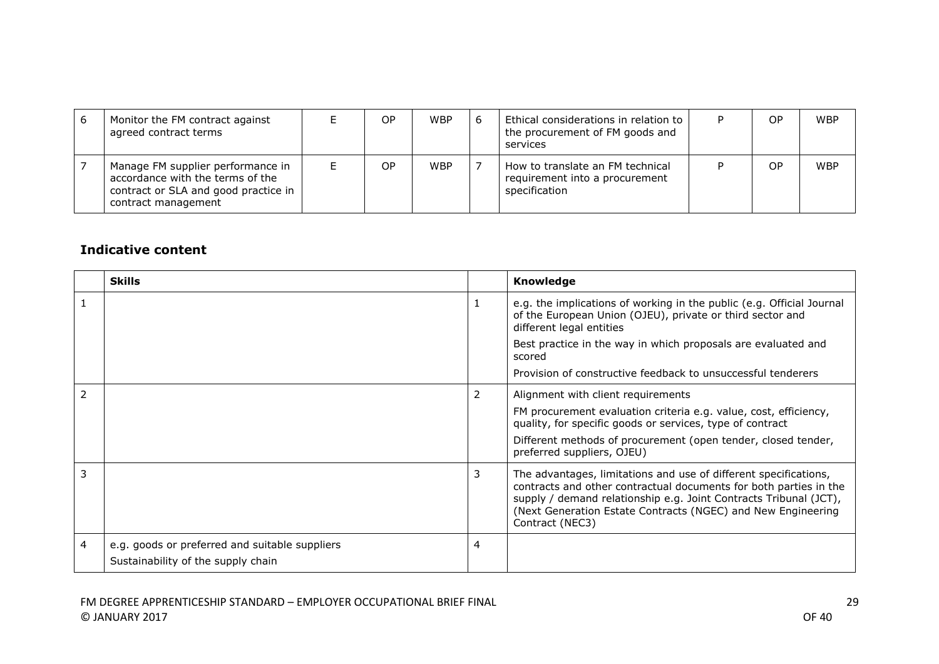| 6 | Monitor the FM contract against<br>agreed contract terms                                                                             | ОP | <b>WBP</b> | Ethical considerations in relation to I<br>the procurement of FM goods and<br>services | OP | <b>WBP</b> |
|---|--------------------------------------------------------------------------------------------------------------------------------------|----|------------|----------------------------------------------------------------------------------------|----|------------|
|   | Manage FM supplier performance in<br>accordance with the terms of the<br>contract or SLA and good practice in<br>contract management | ОP | <b>WBP</b> | How to translate an FM technical<br>requirement into a procurement<br>specification    | ОP | <b>WBP</b> |

|   | <b>Skills</b>                                  |   | Knowledge                                                                                                                                                                                                                                                                                     |
|---|------------------------------------------------|---|-----------------------------------------------------------------------------------------------------------------------------------------------------------------------------------------------------------------------------------------------------------------------------------------------|
|   |                                                | 1 | e.g. the implications of working in the public (e.g. Official Journal<br>of the European Union (OJEU), private or third sector and<br>different legal entities                                                                                                                                |
|   |                                                |   | Best practice in the way in which proposals are evaluated and<br>scored                                                                                                                                                                                                                       |
|   |                                                |   | Provision of constructive feedback to unsuccessful tenderers                                                                                                                                                                                                                                  |
| 2 |                                                | 2 | Alignment with client requirements                                                                                                                                                                                                                                                            |
|   |                                                |   | FM procurement evaluation criteria e.g. value, cost, efficiency,<br>quality, for specific goods or services, type of contract                                                                                                                                                                 |
|   |                                                |   | Different methods of procurement (open tender, closed tender,<br>preferred suppliers, OJEU)                                                                                                                                                                                                   |
| 3 |                                                | 3 | The advantages, limitations and use of different specifications,<br>contracts and other contractual documents for both parties in the<br>supply / demand relationship e.g. Joint Contracts Tribunal (JCT),<br>(Next Generation Estate Contracts (NGEC) and New Engineering<br>Contract (NEC3) |
| 4 | e.g. goods or preferred and suitable suppliers | 4 |                                                                                                                                                                                                                                                                                               |
|   | Sustainability of the supply chain             |   |                                                                                                                                                                                                                                                                                               |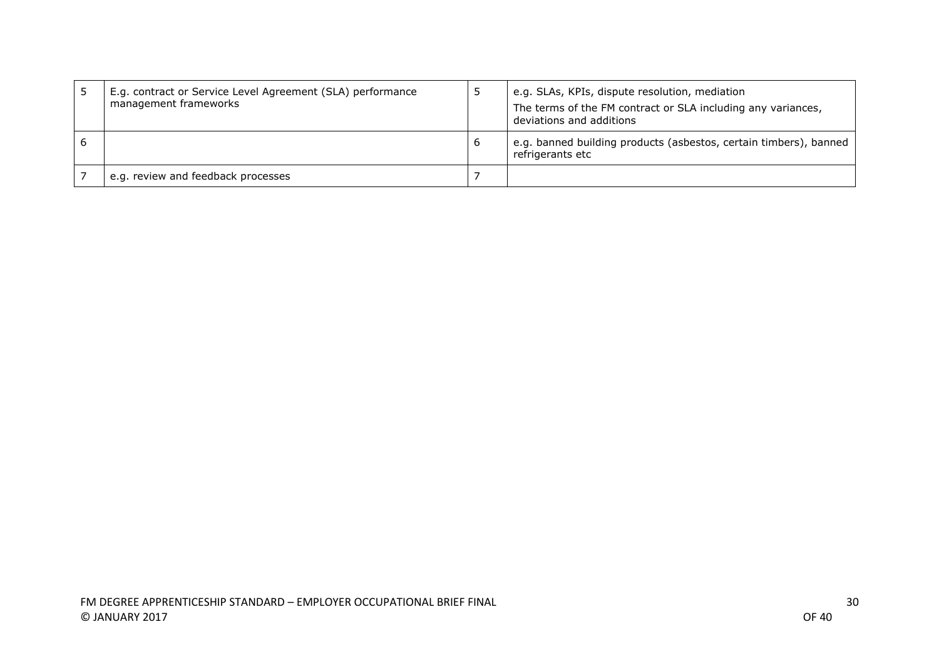| E.g. contract or Service Level Agreement (SLA) performance<br>management frameworks |   | e.g. SLAs, KPIs, dispute resolution, mediation<br>The terms of the FM contract or SLA including any variances,<br>deviations and additions |
|-------------------------------------------------------------------------------------|---|--------------------------------------------------------------------------------------------------------------------------------------------|
|                                                                                     | b | e.g. banned building products (asbestos, certain timbers), banned<br>refrigerants etc                                                      |
| e.g. review and feedback processes                                                  |   |                                                                                                                                            |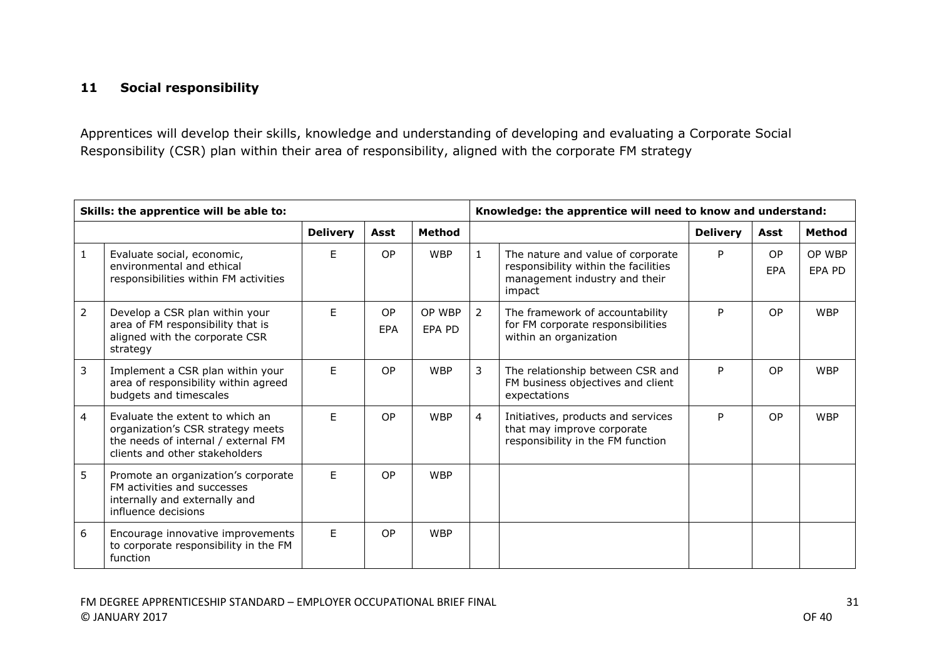### **11 Social responsibility**

Apprentices will develop their skills, knowledge and understanding of developing and evaluating a Corporate Social Responsibility (CSR) plan within their area of responsibility, aligned with the corporate FM strategy

| Skills: the apprentice will be able to: |                                                                                                                                               |                 |           |                  | Knowledge: the apprentice will need to know and understand: |                                                                                                                      |                 |           |                  |
|-----------------------------------------|-----------------------------------------------------------------------------------------------------------------------------------------------|-----------------|-----------|------------------|-------------------------------------------------------------|----------------------------------------------------------------------------------------------------------------------|-----------------|-----------|------------------|
|                                         |                                                                                                                                               | <b>Delivery</b> | Asst      | <b>Method</b>    |                                                             |                                                                                                                      | <b>Delivery</b> | Asst      | Method           |
| 1                                       | Evaluate social, economic,<br>environmental and ethical<br>responsibilities within FM activities                                              | F               | OP        | <b>WBP</b>       | $\mathbf{1}$                                                | The nature and value of corporate<br>responsibility within the facilities<br>management industry and their<br>impact | P               | OP<br>EPA | OP WBP<br>EPA PD |
| $\overline{2}$                          | Develop a CSR plan within your<br>area of FM responsibility that is<br>aligned with the corporate CSR<br>strategy                             | E               | OP<br>EPA | OP WBP<br>EPA PD | 2                                                           | The framework of accountability<br>for FM corporate responsibilities<br>within an organization                       | P               | OP        | <b>WBP</b>       |
| 3                                       | Implement a CSR plan within your<br>area of responsibility within agreed<br>budgets and timescales                                            | F               | OP        | <b>WBP</b>       | 3                                                           | The relationship between CSR and<br>FM business objectives and client<br>expectations                                | P               | OP        | <b>WBP</b>       |
| $\overline{4}$                          | Evaluate the extent to which an<br>organization's CSR strategy meets<br>the needs of internal / external FM<br>clients and other stakeholders | F.              | <b>OP</b> | <b>WBP</b>       | $\overline{4}$                                              | Initiatives, products and services<br>that may improve corporate<br>responsibility in the FM function                | P               | <b>OP</b> | <b>WBP</b>       |
| 5                                       | Promote an organization's corporate<br>FM activities and successes<br>internally and externally and<br>influence decisions                    | F.              | <b>OP</b> | <b>WBP</b>       |                                                             |                                                                                                                      |                 |           |                  |
| 6                                       | Encourage innovative improvements<br>to corporate responsibility in the FM<br>function                                                        | F.              | <b>OP</b> | <b>WBP</b>       |                                                             |                                                                                                                      |                 |           |                  |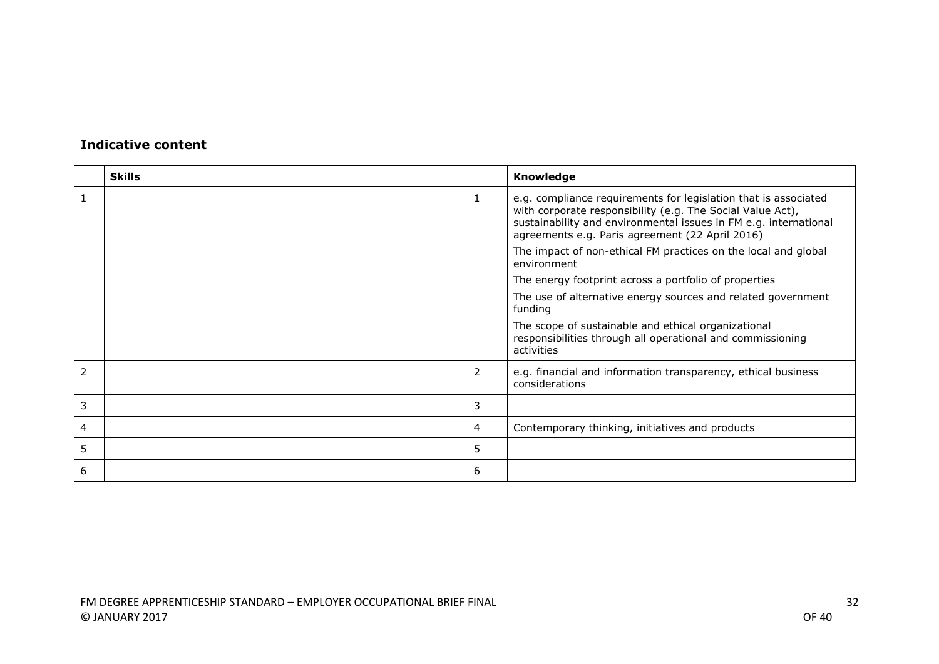|   | <b>Skills</b> |   | Knowledge                                                                                                                                                                                                                                            |
|---|---------------|---|------------------------------------------------------------------------------------------------------------------------------------------------------------------------------------------------------------------------------------------------------|
|   |               |   | e.g. compliance requirements for legislation that is associated<br>with corporate responsibility (e.g. The Social Value Act),<br>sustainability and environmental issues in FM e.g. international<br>agreements e.g. Paris agreement (22 April 2016) |
|   |               |   | The impact of non-ethical FM practices on the local and global<br>environment                                                                                                                                                                        |
|   |               |   | The energy footprint across a portfolio of properties                                                                                                                                                                                                |
|   |               |   | The use of alternative energy sources and related government<br>funding                                                                                                                                                                              |
|   |               |   | The scope of sustainable and ethical organizational<br>responsibilities through all operational and commissioning<br>activities                                                                                                                      |
|   |               | 2 | e.g. financial and information transparency, ethical business<br>considerations                                                                                                                                                                      |
| 3 |               | 3 |                                                                                                                                                                                                                                                      |
| 4 |               | 4 | Contemporary thinking, initiatives and products                                                                                                                                                                                                      |
| 5 |               | 5 |                                                                                                                                                                                                                                                      |
| 6 |               | 6 |                                                                                                                                                                                                                                                      |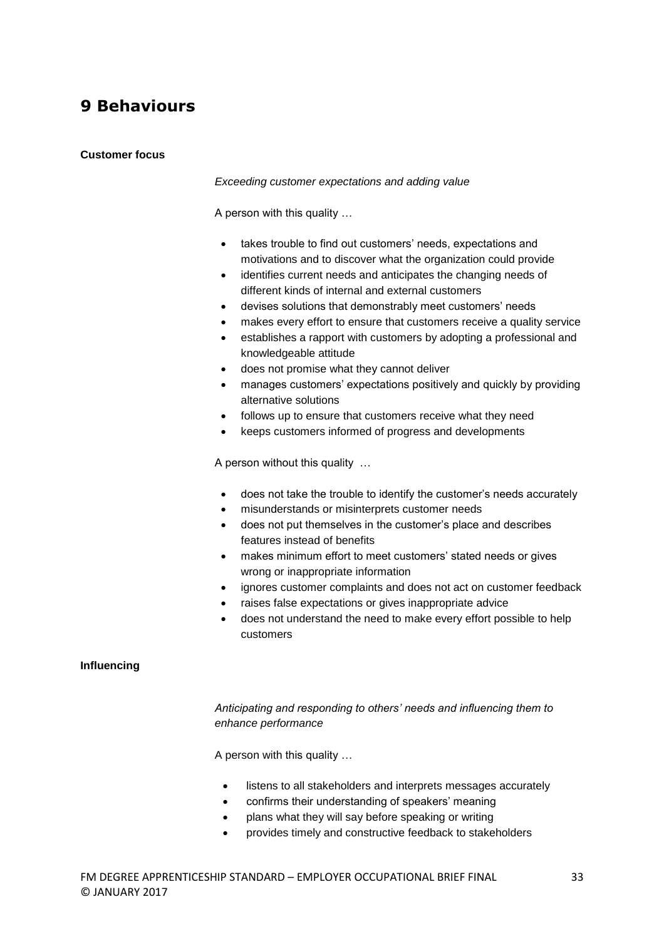### **9 Behaviours**

#### **Customer focus**

#### *Exceeding customer expectations and adding value*

A person with this quality …

- takes trouble to find out customers' needs, expectations and motivations and to discover what the organization could provide
- identifies current needs and anticipates the changing needs of different kinds of internal and external customers
- devises solutions that demonstrably meet customers' needs
- makes every effort to ensure that customers receive a quality service
- establishes a rapport with customers by adopting a professional and knowledgeable attitude
- does not promise what they cannot deliver
- manages customers' expectations positively and quickly by providing alternative solutions
- follows up to ensure that customers receive what they need
- keeps customers informed of progress and developments

A person without this quality …

- does not take the trouble to identify the customer's needs accurately
- misunderstands or misinterprets customer needs
- does not put themselves in the customer's place and describes features instead of benefits
- makes minimum effort to meet customers' stated needs or gives wrong or inappropriate information
- ignores customer complaints and does not act on customer feedback
- raises false expectations or gives inappropriate advice
- does not understand the need to make every effort possible to help customers

#### **Influencing**

*Anticipating and responding to others' needs and influencing them to enhance performance*

A person with this quality …

- listens to all stakeholders and interprets messages accurately
- confirms their understanding of speakers' meaning
- plans what they will say before speaking or writing
- provides timely and constructive feedback to stakeholders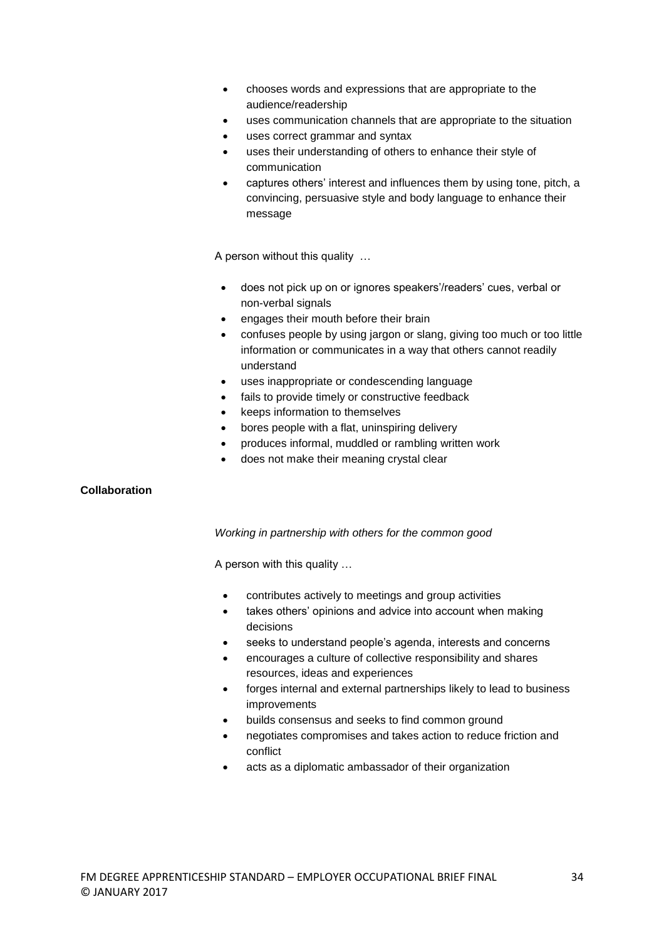- chooses words and expressions that are appropriate to the audience/readership
- uses communication channels that are appropriate to the situation
- uses correct grammar and syntax
- uses their understanding of others to enhance their style of communication
- captures others' interest and influences them by using tone, pitch, a convincing, persuasive style and body language to enhance their message

A person without this quality …

- does not pick up on or ignores speakers'/readers' cues, verbal or non-verbal signals
- engages their mouth before their brain
- confuses people by using jargon or slang, giving too much or too little information or communicates in a way that others cannot readily understand
- uses inappropriate or condescending language
- fails to provide timely or constructive feedback
- keeps information to themselves
- bores people with a flat, uninspiring delivery
- produces informal, muddled or rambling written work
- does not make their meaning crystal clear

#### **Collaboration**

#### *Working in partnership with others for the common good*

A person with this quality …

- contributes actively to meetings and group activities
- takes others' opinions and advice into account when making decisions
- seeks to understand people's agenda, interests and concerns
- encourages a culture of collective responsibility and shares resources, ideas and experiences
- forges internal and external partnerships likely to lead to business improvements
- builds consensus and seeks to find common ground
- negotiates compromises and takes action to reduce friction and conflict
- acts as a diplomatic ambassador of their organization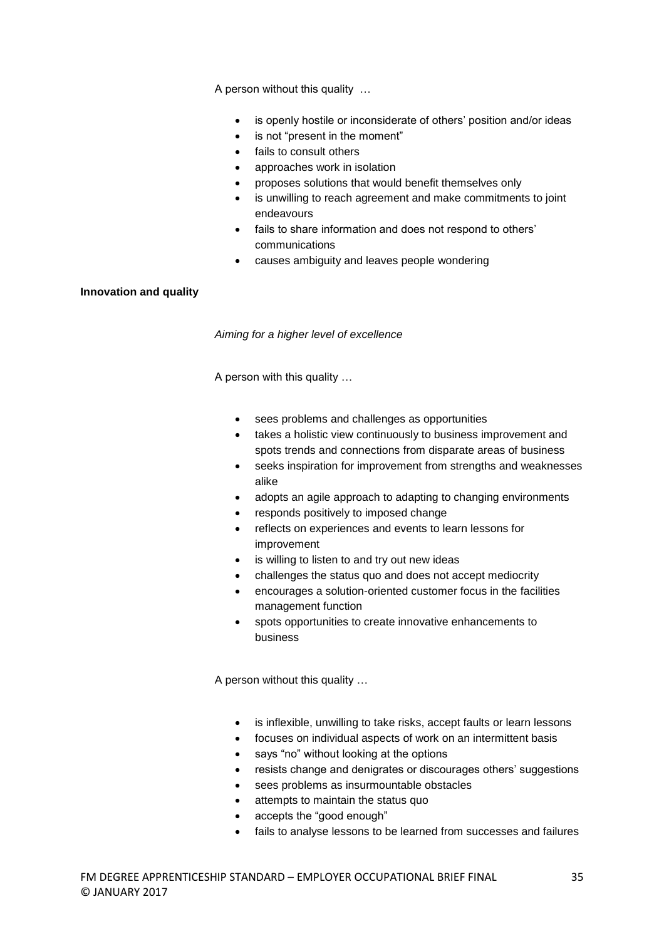A person without this quality …

- is openly hostile or inconsiderate of others' position and/or ideas
- is not "present in the moment"
- fails to consult others
- approaches work in isolation
- proposes solutions that would benefit themselves only
- is unwilling to reach agreement and make commitments to joint endeavours
- fails to share information and does not respond to others' communications
- causes ambiguity and leaves people wondering

#### **Innovation and quality**

*Aiming for a higher level of excellence*

A person with this quality …

- sees problems and challenges as opportunities
- takes a holistic view continuously to business improvement and spots trends and connections from disparate areas of business
- seeks inspiration for improvement from strengths and weaknesses alike
- adopts an agile approach to adapting to changing environments
- responds positively to imposed change
- reflects on experiences and events to learn lessons for improvement
- is willing to listen to and try out new ideas
- challenges the status quo and does not accept mediocrity
- encourages a solution-oriented customer focus in the facilities management function
- spots opportunities to create innovative enhancements to business

A person without this quality …

- is inflexible, unwilling to take risks, accept faults or learn lessons
- focuses on individual aspects of work on an intermittent basis
- says "no" without looking at the options
- resists change and denigrates or discourages others' suggestions
- sees problems as insurmountable obstacles
- attempts to maintain the status quo
- accepts the "good enough"
- fails to analyse lessons to be learned from successes and failures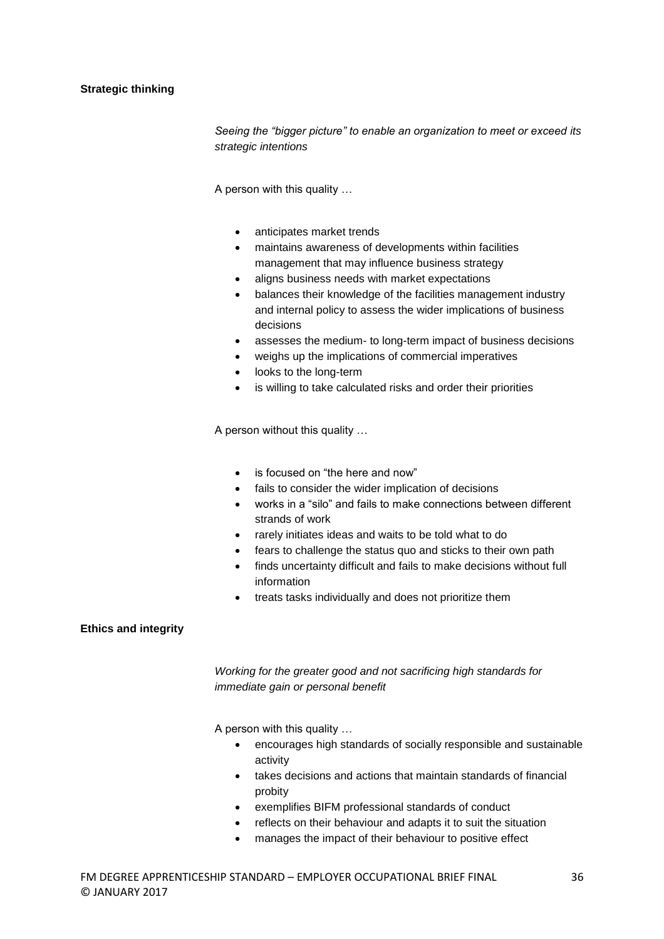#### **Strategic thinking**

*Seeing the "bigger picture" to enable an organization to meet or exceed its strategic intentions*

A person with this quality …

- anticipates market trends
- maintains awareness of developments within facilities management that may influence business strategy
- aligns business needs with market expectations
- balances their knowledge of the facilities management industry and internal policy to assess the wider implications of business decisions
- assesses the medium- to long-term impact of business decisions
- weighs up the implications of commercial imperatives
- looks to the long-term
- is willing to take calculated risks and order their priorities

A person without this quality …

- is focused on "the here and now"
- fails to consider the wider implication of decisions
- works in a "silo" and fails to make connections between different strands of work
- rarely initiates ideas and waits to be told what to do
- fears to challenge the status quo and sticks to their own path
- finds uncertainty difficult and fails to make decisions without full information
- treats tasks individually and does not prioritize them

#### **Ethics and integrity**

*Working for the greater good and not sacrificing high standards for immediate gain or personal benefit*

A person with this quality …

- encourages high standards of socially responsible and sustainable activity
- takes decisions and actions that maintain standards of financial probity
- exemplifies BIFM professional standards of conduct
- reflects on their behaviour and adapts it to suit the situation
- manages the impact of their behaviour to positive effect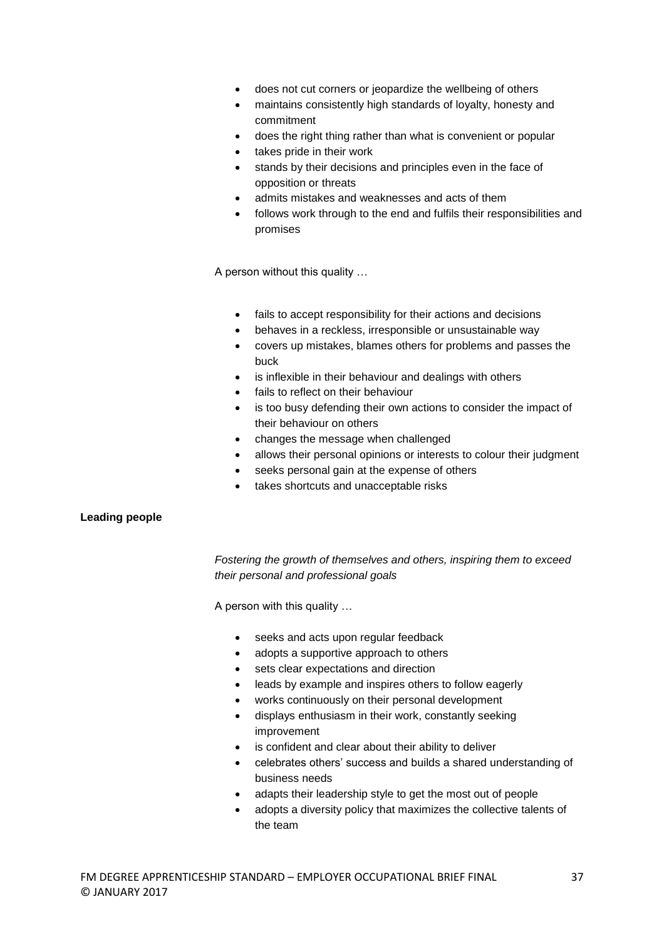- does not cut corners or jeopardize the wellbeing of others
- maintains consistently high standards of loyalty, honesty and commitment
- does the right thing rather than what is convenient or popular
- takes pride in their work
- stands by their decisions and principles even in the face of opposition or threats
- admits mistakes and weaknesses and acts of them
- follows work through to the end and fulfils their responsibilities and promises

A person without this quality …

- fails to accept responsibility for their actions and decisions
- behaves in a reckless, irresponsible or unsustainable way
- covers up mistakes, blames others for problems and passes the buck
- is inflexible in their behaviour and dealings with others
- fails to reflect on their behaviour
- is too busy defending their own actions to consider the impact of their behaviour on others
- changes the message when challenged
- allows their personal opinions or interests to colour their judgment
- seeks personal gain at the expense of others
- takes shortcuts and unacceptable risks

#### **Leading people**

*Fostering the growth of themselves and others, inspiring them to exceed their personal and professional goals*

A person with this quality …

- seeks and acts upon regular feedback
- adopts a supportive approach to others
- sets clear expectations and direction
- leads by example and inspires others to follow eagerly
- works continuously on their personal development
- displays enthusiasm in their work, constantly seeking improvement
- is confident and clear about their ability to deliver
- celebrates others' success and builds a shared understanding of business needs
- adapts their leadership style to get the most out of people
- adopts a diversity policy that maximizes the collective talents of the team